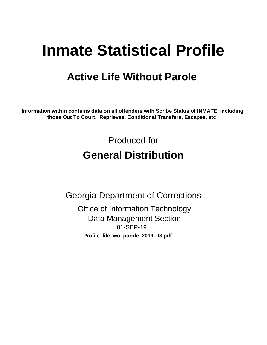# **Inmate Statistical Profile**

## **Active Life Without Parole**

Information within contains data on all offenders with Scribe Status of INMATE, including those Out To Court, Reprieves, Conditional Transfers, Escapes, etc

> Produced for **General Distribution**

**Georgia Department of Corrections Office of Information Technology Data Management Section** 01-SEP-19 Profile\_life\_wo\_parole\_2019\_08.pdf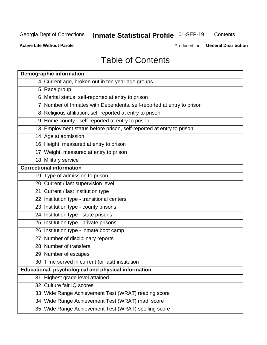#### **Inmate Statistical Profile 01-SEP-19** Contents

**Active Life Without Parole** 

Produced for General Distribution

## **Table of Contents**

|    | <b>Demographic information</b>                                        |
|----|-----------------------------------------------------------------------|
|    | 4 Current age, broken out in ten year age groups                      |
|    | 5 Race group                                                          |
|    | 6 Marital status, self-reported at entry to prison                    |
|    | 7 Number of Inmates with Dependents, self-reported at entry to prison |
|    | 8 Religious affiliation, self-reported at entry to prison             |
|    | 9 Home county - self-reported at entry to prison                      |
|    | 13 Employment status before prison, self-reported at entry to prison  |
|    | 14 Age at admission                                                   |
|    | 16 Height, measured at entry to prison                                |
|    | 17 Weight, measured at entry to prison                                |
|    | 18 Military service                                                   |
|    | <b>Correctional information</b>                                       |
|    | 19 Type of admission to prison                                        |
|    | 20 Current / last supervision level                                   |
|    | 21 Current / last institution type                                    |
|    | 22 Institution type - transitional centers                            |
|    | 23 Institution type - county prisons                                  |
|    | 24 Institution type - state prisons                                   |
|    | 25 Institution type - private prisons                                 |
|    | 26 Institution type - inmate boot camp                                |
|    | 27 Number of disciplinary reports                                     |
|    | 28 Number of transfers                                                |
|    | 29 Number of escapes                                                  |
|    | 30 Time served in current (or last) institution                       |
|    | Educational, psychological and physical information                   |
| 31 | Highest grade level attained                                          |
|    | 32 Culture fair IQ scores                                             |
|    | 33 Wide Range Achievement Test (WRAT) reading score                   |
|    | 34 Wide Range Achievement Test (WRAT) math score                      |
|    | 35 Wide Range Achievement Test (WRAT) spelling score                  |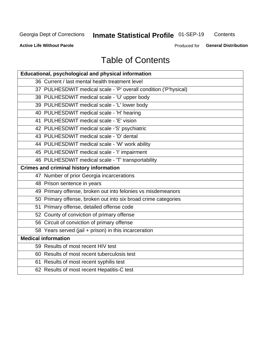## **Inmate Statistical Profile 01-SEP-19**

Contents

**Active Life Without Parole** 

Produced for General Distribution

## **Table of Contents**

| Educational, psychological and physical information              |
|------------------------------------------------------------------|
| 36 Current / last mental health treatment level                  |
| 37 PULHESDWIT medical scale - 'P' overall condition ('P'hysical) |
| 38 PULHESDWIT medical scale - 'U' upper body                     |
| 39 PULHESDWIT medical scale - 'L' lower body                     |
| 40 PULHESDWIT medical scale - 'H' hearing                        |
| 41 PULHESDWIT medical scale - 'E' vision                         |
| 42 PULHESDWIT medical scale -'S' psychiatric                     |
| 43 PULHESDWIT medical scale - 'D' dental                         |
| 44 PULHESDWIT medical scale - 'W' work ability                   |
| 45 PULHESDWIT medical scale - 'I' impairment                     |
| 46 PULHESDWIT medical scale - 'T' transportability               |
| <b>Crimes and criminal history information</b>                   |
| 47 Number of prior Georgia incarcerations                        |
| 48 Prison sentence in years                                      |
| 49 Primary offense, broken out into felonies vs misdemeanors     |
| 50 Primary offense, broken out into six broad crime categories   |
| 51 Primary offense, detailed offense code                        |
| 52 County of conviction of primary offense                       |
| 56 Circuit of conviction of primary offense                      |
| 58 Years served (jail + prison) in this incarceration            |
| <b>Medical information</b>                                       |
| 59 Results of most recent HIV test                               |
| 60 Results of most recent tuberculosis test                      |
| 61 Results of most recent syphilis test                          |
| 62 Results of most recent Hepatitis-C test                       |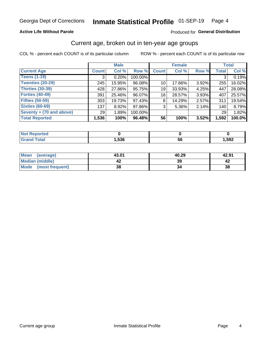### **Active Life Without Parole**

### Produced for General Distribution

### Current age, broken out in ten-year age groups

COL % - percent each COUNT is of its particular column

|                          | <b>Male</b>  |        |         |                 | <b>Female</b> |          |              | <b>Total</b> |
|--------------------------|--------------|--------|---------|-----------------|---------------|----------|--------------|--------------|
| <b>Current Age</b>       | <b>Count</b> | Col %  | Row %   | <b>Count</b>    | Col %         | Row %    | <b>Total</b> | Col %        |
| <b>Teens (1-19)</b>      | 3            | 0.20%  | 100.00% |                 |               |          | 3            | 0.19%        |
| <b>Twenties (20-29)</b>  | 245          | 15.95% | 96.08%  | 10 <sup>1</sup> | 17.86%        | $3.92\%$ | 255          | 16.02%       |
| Thirties (30-39)         | 428          | 27.86% | 95.75%  | 19              | 33.93%        | 4.25%    | 447          | 28.08%       |
| <b>Forties (40-49)</b>   | 391          | 25.46% | 96.07%  | 16              | 28.57%        | 3.93%    | 407          | 25.57%       |
| <b>Fifties (50-59)</b>   | 303          | 19.73% | 97.43%  | 8               | 14.29%        | 2.57%    | 311          | 19.54%       |
| <b>Sixties (60-69)</b>   | 137          | 8.92%  | 97.86%  | 3               | $5.36\%$      | 2.14%    | 140          | 8.79%        |
| Seventy + (70 and above) | 29           | 1.89%  | 100.00% |                 |               |          | 29           | 1.82%        |
| <b>Total Reported</b>    | 1,536        | 100%   | 96.48%  | 56              | 100%          | 3.52%    | 1,592        | 100.0%       |

| <b><i>College Hotel</i></b><br>m. |                    |         |      |
|-----------------------------------|--------------------|---------|------|
| $f \wedge f \wedge f$             | <b>EOC</b><br>סכפ, | -0<br>v | ,592 |

| <b>Mean</b><br>(average) | 43.01 | 40.29 | 42.91 |
|--------------------------|-------|-------|-------|
| Median (middle)          |       | 39    |       |
| Mode<br>(most frequent)  | 38    |       | 38    |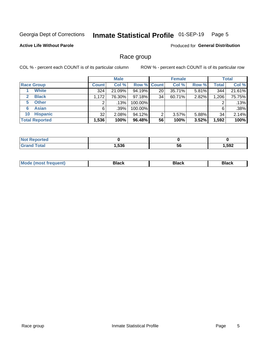#### Inmate Statistical Profile 01-SEP-19 Page 5

### **Active Life Without Parole**

**Produced for General Distribution** 

### Race group

COL % - percent each COUNT is of its particular column

|                              | <b>Male</b>  |         |         | <b>Female</b>      |        |          | <b>Total</b> |        |
|------------------------------|--------------|---------|---------|--------------------|--------|----------|--------------|--------|
| <b>Race Group</b>            | <b>Count</b> | Col %   |         | <b>Row % Count</b> | Col %  | Row %    | <b>Total</b> | Col %  |
| <b>White</b>                 | 324          | 21.09%  | 94.19%  | 20                 | 35.71% | 5.81%    | 344          | 21.61% |
| <b>Black</b><br>$\mathbf{2}$ | 1,172        | 76.30%  | 97.18%  | 34                 | 60.71% | 2.82%    | 1,206        | 75.75% |
| <b>Other</b><br>5.           |              | .13%    | 100.00% |                    |        |          | 2            | .13%   |
| <b>Asian</b><br>6            | 6            | $.39\%$ | 100.00% |                    |        |          | 6            | .38%   |
| <b>Hispanic</b><br>10        | 32           | 2.08%   | 94.12%  | ົ                  | 3.57%  | $5.88\%$ | 34           | 2.14%  |
| <b>Total Reported</b>        | 1,536        | 100%    | 96.48%  | 56                 | 100%   | 3.52%    | 1,592        | 100%   |

| <b>rtea</b>           |      |    |      |
|-----------------------|------|----|------|
| $f \wedge f \wedge f$ | ,536 | 56 | ,592 |

| –•••• |  | M |  |  |  |
|-------|--|---|--|--|--|
|-------|--|---|--|--|--|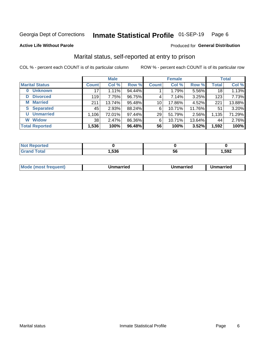#### Inmate Statistical Profile 01-SEP-19 Page 6

#### **Active Life Without Parole**

### **Produced for General Distribution**

### Marital status, self-reported at entry to prison

COL % - percent each COUNT is of its particular column

|                            | <b>Male</b>  |        |        | <b>Female</b>   |        |        | <b>Total</b> |        |
|----------------------------|--------------|--------|--------|-----------------|--------|--------|--------------|--------|
| <b>Marital Status</b>      | <b>Count</b> | Col %  | Row %  | <b>Count</b>    | Col %  | Row %  | <b>Total</b> | Col %  |
| <b>Unknown</b><br>$\bf{0}$ | 17           | 1.11%  | 94.44% |                 | 1.79%  | 5.56%  | 18           | 1.13%  |
| <b>Divorced</b><br>D       | 119          | 7.75%  | 96.75% | 4               | 7.14%  | 3.25%  | 123          | 7.73%  |
| <b>Married</b><br>М        | 211          | 13.74% | 95.48% | 10 <sup>1</sup> | 17.86% | 4.52%  | 221          | 13.88% |
| <b>S</b> Separated         | 45           | 2.93%  | 88.24% | 6               | 10.71% | 11.76% | 51           | 3.20%  |
| <b>Unmarried</b><br>U      | 1,106        | 72.01% | 97.44% | 29              | 51.79% | 2.56%  | 1,135        | 71.29% |
| <b>Widow</b><br>W          | 38           | 2.47%  | 86.36% | 6               | 10.71% | 13.64% | 44           | 2.76%  |
| <b>Total Reported</b>      | 1,536        | 100%   | 96.48% | 56              | 100%   | 3.52%  | 1,592        | 100%   |

| <b>prted</b><br>NOT RADO |      |    |      |
|--------------------------|------|----|------|
| <b>Total</b>             | ,536 | эc | ,592 |

|  | M | . | Unmarried | າmarried<br>_____ |
|--|---|---|-----------|-------------------|
|--|---|---|-----------|-------------------|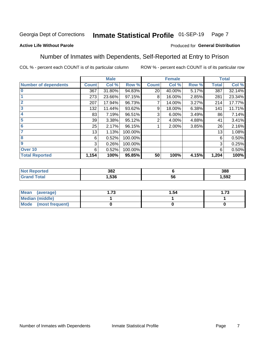#### Inmate Statistical Profile 01-SEP-19 Page 7

### **Active Life Without Parole**

### Produced for General Distribution

### Number of Inmates with Dependents, Self-Reported at Entry to Prison

COL % - percent each COUNT is of its particular column

|                             |                 | <b>Male</b> |         |                | <b>Female</b> |       |              | <b>Total</b> |
|-----------------------------|-----------------|-------------|---------|----------------|---------------|-------|--------------|--------------|
| <b>Number of dependents</b> | <b>Count</b>    | Col %       | Row %   | <b>Count</b>   | Col %         | Row % | <b>Total</b> | Col %        |
| $\bf{0}$                    | 367             | 31.80%      | 94.83%  | 20             | 40.00%        | 5.17% | 387          | 32.14%       |
|                             | 273             | 23.66%      | 97.15%  | 8              | 16.00%        | 2.85% | 281          | 23.34%       |
| $\overline{2}$              | 207             | 17.94%      | 96.73%  |                | 14.00%        | 3.27% | 214          | 17.77%       |
| 3                           | 132             | 11.44%      | 93.62%  | 9              | 18.00%        | 6.38% | 141          | 11.71%       |
| 4                           | 83              | 7.19%       | 96.51%  | 3              | $6.00\%$      | 3.49% | 86           | 7.14%        |
| 5                           | 39 <sub>1</sub> | 3.38%       | 95.12%  | $\overline{2}$ | 4.00%         | 4.88% | 41           | 3.41%        |
| 6                           | 25              | 2.17%       | 96.15%  |                | 2.00%         | 3.85% | 26           | 2.16%        |
| 7                           | 13              | 1.13%       | 100.00% |                |               |       | 13           | 1.08%        |
| 8                           | 6               | 0.52%       | 100.00% |                |               |       | 6            | 0.50%        |
| $\boldsymbol{9}$            | 3               | 0.26%       | 100.00% |                |               |       | 3            | 0.25%        |
| Over <sub>10</sub>          | 6               | 0.52%       | 100.00% |                |               |       | 6            | 0.50%        |
| <b>Total Reported</b>       | 1,154           | 100%        | 95.85%  | 50             | 100%          | 4.15% | 1,204        | 100%         |

| 382<br>$ -$ |     | 388  |
|-------------|-----|------|
| .536        | -5t | .592 |

| Mean<br>(average)      | 72<br>I . / J | 1.54 | l.73 |
|------------------------|---------------|------|------|
| <b>Median (middle)</b> |               |      |      |
| Mode (most frequent)   |               |      |      |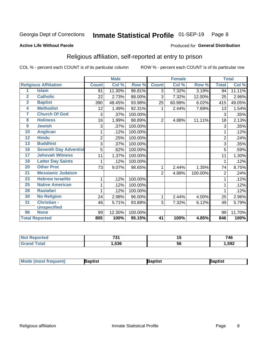#### Inmate Statistical Profile 01-SEP-19 Page 8

### **Active Life Without Parole**

### Produced for General Distribution

### Religious affiliation, self-reported at entry to prison

COL % - percent each COUNT is of its particular column

|                  |                              |                | <b>Male</b> |         |                 | <b>Female</b> |         |                | <b>Total</b> |
|------------------|------------------------------|----------------|-------------|---------|-----------------|---------------|---------|----------------|--------------|
|                  | <b>Religious Affiliation</b> | <b>Count</b>   | Col %       | Row %   | <b>Count</b>    | Col %         | Row %   | <b>Total</b>   | Col %        |
| 1                | <b>Islam</b>                 | 91             | 11.30%      | 96.81%  | 3               | 7.32%         | 3.19%   | 94             | 11.11%       |
| $\mathbf{2}$     | <b>Catholic</b>              | 22             | 2.73%       | 88.00%  | 3               | 7.32%         | 12.00%  | 25             | 2.96%        |
| 3                | <b>Baptist</b>               | 390            | 48.45%      | 93.98%  | 25              | 60.98%        | 6.02%   | 415            | 49.05%       |
| 4                | <b>Methodist</b>             | 12             | 1.49%       | 92.31%  | 1               | 2.44%         | 7.69%   | 13             | 1.54%        |
| 7                | <b>Church Of God</b>         | 3              | .37%        | 100.00% |                 |               |         | 3              | .35%         |
| 8                | <b>Holiness</b>              | 16             | 1.99%       | 88.89%  | $\overline{2}$  | 4.88%         | 11.11%  | 18             | 2.13%        |
| $\boldsymbol{9}$ | <b>Jewish</b>                | 3              | .37%        | 100.00% |                 |               |         | 3              | .35%         |
| 10               | <b>Anglican</b>              | 1              | .12%        | 100.00% |                 |               |         |                | .12%         |
| $\overline{12}$  | <b>Hindu</b>                 | $\overline{2}$ | .25%        | 100.00% |                 |               |         | $\overline{2}$ | .24%         |
| 13               | <b>Buddhist</b>              | 3              | .37%        | 100.00% |                 |               |         | 3              | .35%         |
| 16               | <b>Seventh Day Adventist</b> | 5              | .62%        | 100.00% |                 |               |         | 5              | .59%         |
| 17               | <b>Jehovah Witness</b>       | 11             | 1.37%       | 100.00% |                 |               |         | 11             | 1.30%        |
| 18               | <b>Latter Day Saints</b>     | 1              | .12%        | 100.00% |                 |               |         | 1              | .12%         |
| 20               | <b>Other Prot</b>            | 73             | 9.07%       | 98.65%  | 1               | 2.44%         | 1.35%   | 74             | 8.75%        |
| $\overline{21}$  | <b>Messianic Judaism</b>     |                |             |         | $\overline{2}$  | 4.88%         | 100.00% | $\overline{2}$ | .24%         |
| 23               | <b>Hebrew Israelite</b>      | 1              | .12%        | 100.00% |                 |               |         |                | .12%         |
| 25               | <b>Native American</b>       | 1              | .12%        | 100.00% |                 |               |         |                | .12%         |
| 28               | <b>Rastafari</b>             | 1              | .12%        | 100.00% |                 |               |         |                | .12%         |
| 30               | <b>No Religion</b>           | 24             | 2.98%       | 96.00%  | 1               | 2.44%         | 4.00%   | 25             | 2.96%        |
| 31               | <b>Christian -</b>           | 46             | 5.71%       | 93.88%  | 3               | 7.32%         | 6.12%   | 49             | 5.79%        |
|                  | <b>Unspecified</b>           |                |             |         |                 |               |         |                |              |
| 96               | <b>None</b>                  | 99             | 12.30%      | 100.00% |                 |               |         | 99             | 11.70%       |
|                  | <b>Total Reported</b>        | 805            | 100%        | 95.15%  | $\overline{41}$ | 100%          | 4.85%   | 846            | 100%         |

| <b>Reported</b><br><b>NOT</b> | 704  |         | 746   |
|-------------------------------|------|---------|-------|
| <b>Total</b>                  | .536 | .<br>Co | 1,592 |

| <b>Mode (most frequent)</b><br>}aptist<br>Baptist<br>Baptist |
|--------------------------------------------------------------|
|--------------------------------------------------------------|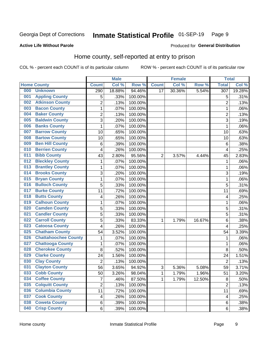#### Inmate Statistical Profile 01-SEP-19 Page 9

### **Active Life Without Parole**

### Produced for General Distribution

### Home county, self-reported at entry to prison

COL % - percent each COUNT is of its particular column

|     |                             |                | <b>Male</b> |         |                | <b>Female</b> |        | <b>Total</b>     |        |
|-----|-----------------------------|----------------|-------------|---------|----------------|---------------|--------|------------------|--------|
|     | <b>Home County</b>          | <b>Count</b>   | Col %       | Row %   | <b>Count</b>   | Col %         | Row %  | <b>Total</b>     | Col %  |
| 000 | <b>Unknown</b>              | 290            | 18.88%      | 94.46%  | 17             | 30.36%        | 5.54%  | $\overline{307}$ | 19.28% |
| 001 | <b>Appling County</b>       | 5              | .33%        | 100.00% |                |               |        | 5                | .31%   |
| 002 | <b>Atkinson County</b>      | $\overline{2}$ | .13%        | 100.00% |                |               |        | $\overline{2}$   | .13%   |
| 003 | <b>Bacon County</b>         | $\mathbf 1$    | .07%        | 100.00% |                |               |        | 1                | .06%   |
| 004 | <b>Baker County</b>         | $\overline{2}$ | .13%        | 100.00% |                |               |        | $\overline{2}$   | .13%   |
| 005 | <b>Baldwin County</b>       | 3              | .20%        | 100.00% |                |               |        | 3                | .19%   |
| 006 | <b>Banks County</b>         | $\mathbf{1}$   | .07%        | 100.00% |                |               |        | 1                | .06%   |
| 007 | <b>Barrow County</b>        | 10             | .65%        | 100.00% |                |               |        | 10               | .63%   |
| 008 | <b>Bartow County</b>        | 10             | .65%        | 100.00% |                |               |        | 10               | .63%   |
| 009 | <b>Ben Hill County</b>      | 6              | .39%        | 100.00% |                |               |        | 6                | .38%   |
| 010 | <b>Berrien County</b>       | 4              | .26%        | 100.00% |                |               |        | $\overline{4}$   | .25%   |
| 011 | <b>Bibb County</b>          | 43             | 2.80%       | 95.56%  | $\overline{2}$ | 3.57%         | 4.44%  | 45               | 2.83%  |
| 012 | <b>Bleckley County</b>      | 1              | .07%        | 100.00% |                |               |        | 1                | .06%   |
| 013 | <b>Brantley County</b>      | $\mathbf 1$    | .07%        | 100.00% |                |               |        | 1                | .06%   |
| 014 | <b>Brooks County</b>        | 3              | .20%        | 100.00% |                |               |        | 3                | .19%   |
| 015 | <b>Bryan County</b>         | $\mathbf 1$    | .07%        | 100.00% |                |               |        | 1                | .06%   |
| 016 | <b>Bulloch County</b>       | 5              | .33%        | 100.00% |                |               |        | 5                | .31%   |
| 017 | <b>Burke County</b>         | 11             | .72%        | 100.00% |                |               |        | 11               | .69%   |
| 018 | <b>Butts County</b>         | 4              | .26%        | 100.00% |                |               |        | 4                | .25%   |
| 019 | <b>Calhoun County</b>       | $\mathbf 1$    | .07%        | 100.00% |                |               |        | 1                | .06%   |
| 020 | <b>Camden County</b>        | 5              | .33%        | 100.00% |                |               |        | 5                | .31%   |
| 021 | <b>Candler County</b>       | 5              | .33%        | 100.00% |                |               |        | 5                | .31%   |
| 022 | <b>Carroll County</b>       | 5              | .33%        | 83.33%  | 1              | 1.79%         | 16.67% | 6                | .38%   |
| 023 | <b>Catoosa County</b>       | 4              | .26%        | 100.00% |                |               |        | 4                | .25%   |
| 025 | <b>Chatham County</b>       | 54             | 3.52%       | 100.00% |                |               |        | 54               | 3.39%  |
| 026 | <b>Chattahoochee County</b> | $\mathbf 1$    | .07%        | 100.00% |                |               |        | 1                | .06%   |
| 027 | <b>Chattooga County</b>     | $\mathbf 1$    | .07%        | 100.00% |                |               |        | 1                | .06%   |
| 028 | <b>Cherokee County</b>      | 8              | .52%        | 100.00% |                |               |        | 8                | .50%   |
| 029 | <b>Clarke County</b>        | 24             | 1.56%       | 100.00% |                |               |        | 24               | 1.51%  |
| 030 | <b>Clay County</b>          | $\overline{2}$ | .13%        | 100.00% |                |               |        | $\overline{2}$   | .13%   |
| 031 | <b>Clayton County</b>       | 56             | 3.65%       | 94.92%  | 3              | 5.36%         | 5.08%  | 59               | 3.71%  |
| 033 | <b>Cobb County</b>          | 50             | 3.26%       | 98.04%  | 1              | 1.79%         | 1.96%  | 51               | 3.20%  |
| 034 | <b>Coffee County</b>        | $\overline{7}$ | .46%        | 87.50%  | 1              | 1.79%         | 12.50% | 8                | .50%   |
| 035 | <b>Colquitt County</b>      | $\overline{2}$ | .13%        | 100.00% |                |               |        | $\overline{2}$   | .13%   |
| 036 | <b>Columbia County</b>      | 11             | .72%        | 100.00% |                |               |        | 11               | .69%   |
| 037 | <b>Cook County</b>          | 4              | .26%        | 100.00% |                |               |        | 4                | .25%   |
| 038 | <b>Coweta County</b>        | 6              | .39%        | 100.00% |                |               |        | 6                | .38%   |
| 040 | <b>Crisp County</b>         | 6              | .39%        | 100.00% |                |               |        | 6                | .38%   |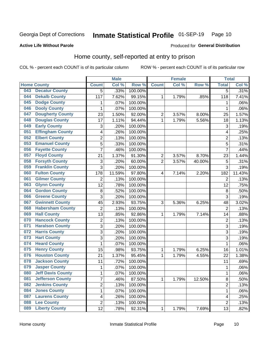#### Inmate Statistical Profile 01-SEP-19 Page 10

### **Active Life Without Parole**

### Produced for General Distribution

### Home county, self-reported at entry to prison

COL % - percent each COUNT is of its particular column

|     |                          |                           | <b>Male</b> |         |                         | <b>Female</b> |        | <b>Total</b>   |        |
|-----|--------------------------|---------------------------|-------------|---------|-------------------------|---------------|--------|----------------|--------|
|     | <b>Home County</b>       | <b>Count</b>              | Col %       | Row %   | <b>Count</b>            | Col %         | Row %  | <b>Total</b>   | Col %  |
| 043 | <b>Decatur County</b>    | $\overline{5}$            | .33%        | 100.00% |                         |               |        | $\overline{5}$ | .31%   |
| 044 | <b>Dekalb County</b>     | 117                       | 7.62%       | 99.15%  | 1                       | 1.79%         | .85%   | 118            | 7.41%  |
| 045 | <b>Dodge County</b>      | 1                         | .07%        | 100.00% |                         |               |        | 1              | .06%   |
| 046 | <b>Dooly County</b>      | 1                         | .07%        | 100.00% |                         |               |        | 1              | .06%   |
| 047 | <b>Dougherty County</b>  | 23                        | 1.50%       | 92.00%  | $\mathbf 2$             | 3.57%         | 8.00%  | 25             | 1.57%  |
| 048 | <b>Douglas County</b>    | 17                        | 1.11%       | 94.44%  | $\mathbf 1$             | 1.79%         | 5.56%  | 18             | 1.13%  |
| 049 | <b>Early County</b>      | $\ensuremath{\mathsf{3}}$ | .20%        | 100.00% |                         |               |        | 3              | .19%   |
| 051 | <b>Effingham County</b>  | 4                         | .26%        | 100.00% |                         |               |        | 4              | .25%   |
| 052 | <b>Elbert County</b>     | 2                         | .13%        | 100.00% |                         |               |        | $\overline{2}$ | .13%   |
| 053 | <b>Emanuel County</b>    | 5                         | .33%        | 100.00% |                         |               |        | 5              | .31%   |
| 056 | <b>Fayette County</b>    | $\overline{7}$            | .46%        | 100.00% |                         |               |        | 7              | .44%   |
| 057 | <b>Floyd County</b>      | 21                        | 1.37%       | 91.30%  | $\overline{\mathbf{c}}$ | 3.57%         | 8.70%  | 23             | 1.44%  |
| 058 | <b>Forsyth County</b>    | $\ensuremath{\mathsf{3}}$ | .20%        | 60.00%  | $\overline{2}$          | 3.57%         | 40.00% | 5              | .31%   |
| 059 | <b>Franklin County</b>   | 3                         | .20%        | 100.00% |                         |               |        | $\overline{3}$ | .19%   |
| 060 | <b>Fulton County</b>     | 178                       | 11.59%      | 97.80%  | 4                       | 7.14%         | 2.20%  | 182            | 11.43% |
| 061 | <b>Gilmer County</b>     | $\overline{2}$            | .13%        | 100.00% |                         |               |        | $\overline{2}$ | .13%   |
| 063 | <b>Glynn County</b>      | 12                        | .78%        | 100.00% |                         |               |        | 12             | .75%   |
| 064 | <b>Gordon County</b>     | 8                         | .52%        | 100.00% |                         |               |        | 8              | .50%   |
| 066 | <b>Greene County</b>     | 3                         | .20%        | 100.00% |                         |               |        | 3              | .19%   |
| 067 | <b>Gwinnett County</b>   | 45                        | 2.93%       | 93.75%  | 3                       | 5.36%         | 6.25%  | 48             | 3.02%  |
| 068 | <b>Habersham County</b>  | $\overline{2}$            | .13%        | 100.00% |                         |               |        | $\overline{2}$ | .13%   |
| 069 | <b>Hall County</b>       | 13                        | .85%        | 92.86%  | 1                       | 1.79%         | 7.14%  | 14             | .88%   |
| 070 | <b>Hancock County</b>    | $\mathbf 2$               | .13%        | 100.00% |                         |               |        | $\overline{c}$ | .13%   |
| 071 | <b>Haralson County</b>   | 3                         | .20%        | 100.00% |                         |               |        | 3              | .19%   |
| 072 | <b>Harris County</b>     | 3                         | .20%        | 100.00% |                         |               |        | 3              | .19%   |
| 073 | <b>Hart County</b>       | 3                         | .20%        | 100.00% |                         |               |        | 3              | .19%   |
| 074 | <b>Heard County</b>      | 1                         | .07%        | 100.00% |                         |               |        | 1              | .06%   |
| 075 | <b>Henry County</b>      | 15                        | .98%        | 93.75%  | 1                       | 1.79%         | 6.25%  | 16             | 1.01%  |
| 076 | <b>Houston County</b>    | 21                        | 1.37%       | 95.45%  | 1                       | 1.79%         | 4.55%  | 22             | 1.38%  |
| 078 | <b>Jackson County</b>    | 11                        | .72%        | 100.00% |                         |               |        | 11             | .69%   |
| 079 | <b>Jasper County</b>     | $\mathbf 1$               | .07%        | 100.00% |                         |               |        | 1              | .06%   |
| 080 | <b>Jeff Davis County</b> | 1                         | .07%        | 100.00% |                         |               |        | 1              | .06%   |
| 081 | <b>Jefferson County</b>  | $\overline{7}$            | .46%        | 87.50%  | 1                       | 1.79%         | 12.50% | 8              | .50%   |
| 082 | <b>Jenkins County</b>    | $\overline{c}$            | .13%        | 100.00% |                         |               |        | 2              | .13%   |
| 084 | <b>Jones County</b>      | $\mathbf 1$               | .07%        | 100.00% |                         |               |        | 1              | .06%   |
| 087 | <b>Laurens County</b>    | 4                         | .26%        | 100.00% |                         |               |        | 4              | .25%   |
| 088 | <b>Lee County</b>        | $\overline{c}$            | .13%        | 100.00% |                         |               |        | $\overline{2}$ | .13%   |
| 089 | <b>Liberty County</b>    | 12                        | .78%        | 92.31%  | 1                       | 1.79%         | 7.69%  | 13             | .82%   |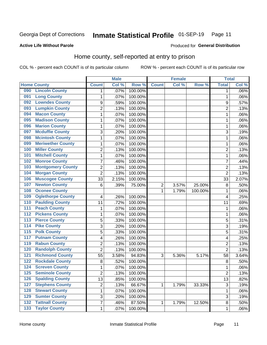#### Inmate Statistical Profile 01-SEP-19 Page 11

### **Active Life Without Parole**

### Produced for General Distribution

### Home county, self-reported at entry to prison

COL % - percent each COUNT is of its particular column

|                  |                          |                | <b>Male</b> |         |                | <b>Female</b> |         | <b>Total</b>   |       |
|------------------|--------------------------|----------------|-------------|---------|----------------|---------------|---------|----------------|-------|
|                  | <b>Home County</b>       | <b>Count</b>   | Col %       | Row %   | <b>Count</b>   | Col %         | Row %   | <b>Total</b>   | Col % |
| 090              | <b>Lincoln County</b>    | 1              | .07%        | 100.00% |                |               |         | 1              | .06%  |
| 091              | <b>Long County</b>       | 1              | .07%        | 100.00% |                |               |         | 1              | .06%  |
| 092              | <b>Lowndes County</b>    | 9              | .59%        | 100.00% |                |               |         | 9              | .57%  |
| 093              | <b>Lumpkin County</b>    | $\overline{2}$ | .13%        | 100.00% |                |               |         | $\overline{2}$ | .13%  |
| 094              | <b>Macon County</b>      | $\mathbf 1$    | .07%        | 100.00% |                |               |         | 1              | .06%  |
| 095              | <b>Madison County</b>    | $\mathbf 1$    | .07%        | 100.00% |                |               |         | 1              | .06%  |
| 096              | <b>Marion County</b>     | $\mathbf 1$    | .07%        | 100.00% |                |               |         | 1              | .06%  |
| 097              | <b>Mcduffie County</b>   | 3              | .20%        | 100.00% |                |               |         | 3              | .19%  |
| 098              | <b>Mcintosh County</b>   | $\mathbf 1$    | .07%        | 100.00% |                |               |         | 1              | .06%  |
| 099              | <b>Meriwether County</b> | $\mathbf 1$    | .07%        | 100.00% |                |               |         | 1              | .06%  |
| 100              | <b>Miller County</b>     | $\overline{c}$ | .13%        | 100.00% |                |               |         | 2              | .13%  |
| 101              | <b>Mitchell County</b>   | 1              | .07%        | 100.00% |                |               |         | 1              | .06%  |
| 102              | <b>Monroe County</b>     | 7              | .46%        | 100.00% |                |               |         | 7              | .44%  |
| 103              | <b>Montgomery County</b> | $\overline{c}$ | .13%        | 100.00% |                |               |         | $\overline{2}$ | .13%  |
| 104              | <b>Morgan County</b>     | $\overline{2}$ | .13%        | 100.00% |                |               |         | $\overline{2}$ | .13%  |
| 106              | <b>Muscogee County</b>   | 33             | 2.15%       | 100.00% |                |               |         | 33             | 2.07% |
| 107              | <b>Newton County</b>     | 6              | .39%        | 75.00%  | $\overline{2}$ | 3.57%         | 25.00%  | 8              | .50%  |
| 108              | <b>Oconee County</b>     |                |             |         | 1              | 1.79%         | 100.00% | 1              | .06%  |
| 109              | <b>Oglethorpe County</b> | 4              | .26%        | 100.00% |                |               |         | 4              | .25%  |
| 110              | <b>Paulding County</b>   | 11             | .72%        | 100.00% |                |               |         | 11             | .69%  |
| 111              | <b>Peach County</b>      | $\mathbf 1$    | .07%        | 100.00% |                |               |         | 1              | .06%  |
| $\overline{112}$ | <b>Pickens County</b>    | $\mathbf 1$    | .07%        | 100.00% |                |               |         | 1              | .06%  |
| 113              | <b>Pierce County</b>     | 5              | .33%        | 100.00% |                |               |         | 5              | .31%  |
| 114              | <b>Pike County</b>       | 3              | .20%        | 100.00% |                |               |         | 3              | .19%  |
| $\overline{115}$ | <b>Polk County</b>       | 5              | .33%        | 100.00% |                |               |         | 5              | .31%  |
| 117              | <b>Putnam County</b>     | 4              | .26%        | 100.00% |                |               |         | 4              | .25%  |
| 119              | <b>Rabun County</b>      | $\overline{2}$ | .13%        | 100.00% |                |               |         | $\overline{2}$ | .13%  |
| 120              | <b>Randolph County</b>   | $\overline{2}$ | .13%        | 100.00% |                |               |         | $\overline{2}$ | .13%  |
| 121              | <b>Richmond County</b>   | 55             | 3.58%       | 94.83%  | 3              | 5.36%         | 5.17%   | 58             | 3.64% |
| 122              | <b>Rockdale County</b>   | 8              | .52%        | 100.00% |                |               |         | $\,8\,$        | .50%  |
| 124              | <b>Screven County</b>    | $\mathbf 1$    | .07%        | 100.00% |                |               |         | 1              | .06%  |
| 125              | <b>Seminole County</b>   | 2              | .13%        | 100.00% |                |               |         | $\overline{c}$ | .13%  |
| 126              | <b>Spalding County</b>   | 13             | .85%        | 100.00% |                |               |         | 13             | .82%  |
| 127              | <b>Stephens County</b>   | $\overline{c}$ | .13%        | 66.67%  | 1              | 1.79%         | 33.33%  | $\mathfrak{S}$ | .19%  |
| 128              | <b>Stewart County</b>    | $\mathbf{1}$   | .07%        | 100.00% |                |               |         | $\mathbf 1$    | .06%  |
| 129              | <b>Sumter County</b>     | 3              | .20%        | 100.00% |                |               |         | 3              | .19%  |
| $\overline{132}$ | <b>Tattnall County</b>   | $\overline{7}$ | .46%        | 87.50%  | 1              | 1.79%         | 12.50%  | 8              | .50%  |
| $\overline{133}$ | <b>Taylor County</b>     | $\mathbf{1}$   | .07%        | 100.00% |                |               |         | 1              | .06%  |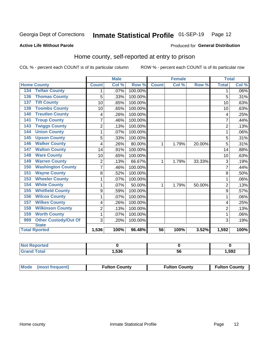## Inmate Statistical Profile 01-SEP-19 Page 12

### **Active Life Without Parole**

### Produced for General Distribution

### Home county, self-reported at entry to prison

COL % - percent each COUNT is of its particular column

|                                    |                         | <b>Male</b> |         |              | <b>Female</b> |        | <b>Total</b>   |         |
|------------------------------------|-------------------------|-------------|---------|--------------|---------------|--------|----------------|---------|
| <b>Home County</b>                 | <b>Count</b>            | Col %       | Row %   | <b>Count</b> | Col %         | Row %  | <b>Total</b>   | Col %   |
| <b>Telfair County</b><br>134       | 1                       | .07%        | 100.00% |              |               |        | 1              | $.06\%$ |
| <b>Thomas County</b><br>136        | 5                       | .33%        | 100.00% |              |               |        | 5              | .31%    |
| <b>Tift County</b><br>137          | 10                      | .65%        | 100.00% |              |               |        | 10             | .63%    |
| <b>Toombs County</b><br>138        | 10                      | .65%        | 100.00% |              |               |        | 10             | .63%    |
| <b>Treutlen County</b><br>140      | 4                       | .26%        | 100.00% |              |               |        | 4              | .25%    |
| <b>Troup County</b><br>141         | $\overline{7}$          | .46%        | 100.00% |              |               |        | 7              | .44%    |
| <b>Twiggs County</b><br>143        | $\overline{\mathbf{c}}$ | .13%        | 100.00% |              |               |        | $\overline{2}$ | .13%    |
| <b>Union County</b><br>144         | 1                       | .07%        | 100.00% |              |               |        |                | .06%    |
| <b>Upson County</b><br>145         | 5                       | .33%        | 100.00% |              |               |        | 5              | .31%    |
| <b>Walker County</b><br>146        | 4                       | .26%        | 80.00%  | 1            | 1.79%         | 20.00% | 5              | .31%    |
| <b>Walton County</b><br>147        | 14                      | .91%        | 100.00% |              |               |        | 14             | .88%    |
| <b>Ware County</b><br>148          | 10                      | .65%        | 100.00% |              |               |        | 10             | .63%    |
| <b>Warren County</b><br>149        | $\overline{2}$          | .13%        | 66.67%  | 1            | 1.79%         | 33.33% | 3              | .19%    |
| <b>Washington County</b><br>150    | 7                       | .46%        | 100.00% |              |               |        |                | .44%    |
| <b>Wayne County</b><br>151         | 8                       | .52%        | 100.00% |              |               |        | 8              | .50%    |
| <b>Wheeler County</b><br>153       | 1                       | .07%        | 100.00% |              |               |        | 1              | .06%    |
| <b>White County</b><br>154         | 1                       | .07%        | 50.00%  | 1            | 1.79%         | 50.00% | $\overline{2}$ | .13%    |
| <b>Whitfield County</b><br>155     | 9                       | .59%        | 100.00% |              |               |        | 9              | .57%    |
| <b>Wilcox County</b><br>156        | 1                       | .07%        | 100.00% |              |               |        |                | .06%    |
| <b>Wilkes County</b><br>157        | 4                       | .26%        | 100.00% |              |               |        | 4              | .25%    |
| <b>Wilkinson County</b><br>158     | $\overline{2}$          | .13%        | 100.00% |              |               |        | $\overline{2}$ | .13%    |
| <b>Worth County</b><br>159         | 1                       | .07%        | 100.00% |              |               |        | 1              | .06%    |
| <b>Other Custody/Out Of</b><br>999 | 3                       | .20%        | 100.00% |              |               |        | 3              | .19%    |
| <b>State</b>                       |                         |             |         |              |               |        |                |         |
| <b>Total Rported</b>               | 1,536                   | 100%        | 96.48%  | 56           | 100%          | 3.52%  | 1,592          | 100%    |

| <b>Not Reported</b> |      |    |       |
|---------------------|------|----|-------|
| <b>Total</b>        | .536 | ວບ | 1,592 |

| Mode (most frequent) | <b>Fulton County</b> | <b>Fulton County</b> | <b>Fulton County</b> |
|----------------------|----------------------|----------------------|----------------------|
|----------------------|----------------------|----------------------|----------------------|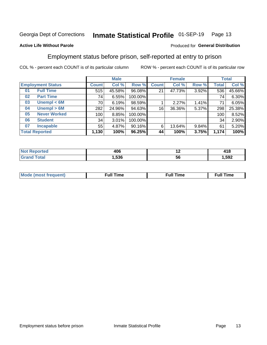#### Inmate Statistical Profile 01-SEP-19 Page 13

### **Active Life Without Parole**

### Produced for General Distribution

### Employment status before prison, self-reported at entry to prison

COL % - percent each COUNT is of its particular column

|                           | <b>Male</b>  |        |         | <b>Female</b> |        |       | <b>Total</b> |        |
|---------------------------|--------------|--------|---------|---------------|--------|-------|--------------|--------|
| <b>Employment Status</b>  | <b>Count</b> | Col %  | Row %   | <b>Count</b>  | Col %  | Row % | Total        | Col %  |
| <b>Full Time</b><br>01    | 515          | 45.58% | 96.08%  | 21            | 47.73% | 3.92% | 536          | 45.66% |
| <b>Part Time</b><br>02    | 74           | 6.55%  | 100.00% |               |        |       | 74           | 6.30%  |
| Unempl $<$ 6M<br>03       | 70           | 6.19%  | 98.59%  |               | 2.27%  | 1.41% | 71           | 6.05%  |
| Unempl > 6M<br>04         | 282          | 24.96% | 94.63%  | 16            | 36.36% | 5.37% | 298          | 25.38% |
| <b>Never Worked</b><br>05 | 100          | 8.85%  | 100.00% |               |        |       | 100          | 8.52%  |
| <b>Student</b><br>06      | 34           | 3.01%  | 100.00% |               |        |       | 34           | 2.90%  |
| <b>Incapable</b><br>07    | 55           | 4.87%  | 90.16%  | 6             | 13.64% | 9.84% | 61           | 5.20%  |
| <b>Total Reported</b>     | 1,130        | 100%   | 96.25%  | 44            | 100%   | 3.75% | 1,174        | 100%   |

| 406<br>__ | $\overline{\phantom{0}}$ | .<br>4 I O<br>---- |
|-----------|--------------------------|--------------------|
| .536      | 50                       | ,592               |

| Mc | ∙u∥<br>----<br>ıme | ίuΙ<br>Πmε |
|----|--------------------|------------|
|    |                    |            |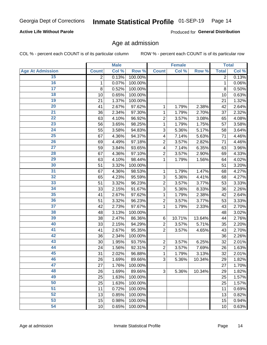### **Active Life Without Parole**

Produced for General Distribution

### Age at admission

COL % - percent each COUNT is of its particular column

|                         |              | <b>Male</b> |         |                | <b>Female</b> |        |              | <b>Total</b> |
|-------------------------|--------------|-------------|---------|----------------|---------------|--------|--------------|--------------|
| <b>Age At Admission</b> | <b>Count</b> | Col %       | Row %   | <b>Count</b>   | Col %         | Row %  | <b>Total</b> | Col %        |
| 15                      | 2            | 0.13%       | 100.00% |                |               |        | 2            | 0.13%        |
| 16                      | 1            | 0.07%       | 100.00% |                |               |        | 1            | 0.06%        |
| $\overline{17}$         | 8            | 0.52%       | 100.00% |                |               |        | 8            | 0.50%        |
| 18                      | 10           | 0.65%       | 100.00% |                |               |        | 10           | 0.63%        |
| 19                      | 21           | 1.37%       | 100.00% |                |               |        | 21           | 1.32%        |
| $\overline{20}$         | 41           | 2.67%       | 97.62%  | 1              | 1.79%         | 2.38%  | 42           | 2.64%        |
| $\overline{21}$         | 36           | 2.34%       | 97.30%  | 1              | 1.79%         | 2.70%  | 37           | 2.32%        |
| 22                      | 63           | 4.10%       | 96.92%  | $\overline{2}$ | 3.57%         | 3.08%  | 65           | 4.08%        |
| 23                      | 56           | 3.65%       | 98.25%  | 1              | 1.79%         | 1.75%  | 57           | 3.58%        |
| 24                      | 55           | 3.58%       | 94.83%  | 3              | 5.36%         | 5.17%  | 58           | 3.64%        |
| $\overline{25}$         | 67           | 4.36%       | 94.37%  | 4              | 7.14%         | 5.63%  | 71           | 4.46%        |
| 26                      | 69           | 4.49%       | 97.18%  | $\overline{2}$ | 3.57%         | 2.82%  | 71           | 4.46%        |
| $\overline{27}$         | 59           | 3.84%       | 93.65%  | 4              | 7.14%         | 6.35%  | 63           | 3.96%        |
| 28                      | 67           | 4.36%       | 97.10%  | $\overline{2}$ | 3.57%         | 2.90%  | 69           | 4.33%        |
| 29                      | 63           | 4.10%       | 98.44%  | 1              | 1.79%         | 1.56%  | 64           | 4.02%        |
| 30                      | 51           | 3.32%       | 100.00% |                |               |        | 51           | 3.20%        |
| 31                      | 67           | 4.36%       | 98.53%  | 1              | 1.79%         | 1.47%  | 68           | 4.27%        |
| 32                      | 65           | 4.23%       | 95.59%  | 3              | 5.36%         | 4.41%  | 68           | 4.27%        |
| 33                      | 51           | 3.32%       | 96.23%  | $\overline{2}$ | 3.57%         | 3.77%  | 53           | 3.33%        |
| 34                      | 33           | 2.15%       | 91.67%  | 3              | 5.36%         | 8.33%  | 36           | 2.26%        |
| 35                      | 41           | 2.67%       | 97.62%  | 1              | 1.79%         | 2.38%  | 42           | 2.64%        |
| 36                      | 51           | 3.32%       | 96.23%  | $\overline{2}$ | 3.57%         | 3.77%  | 53           | 3.33%        |
| $\overline{37}$         | 42           | 2.73%       | 97.67%  | 1              | 1.79%         | 2.33%  | 43           | 2.70%        |
| 38                      | 48           | 3.13%       | 100.00% |                |               |        | 48           | 3.02%        |
| 39                      | 38           | 2.47%       | 86.36%  | 6              | 10.71%        | 13.64% | 44           | 2.76%        |
| 40                      | 33           | 2.15%       | 94.29%  | $\overline{2}$ | 3.57%         | 5.71%  | 35           | 2.20%        |
| 41                      | 41           | 2.67%       | 95.35%  | $\overline{2}$ | 3.57%         | 4.65%  | 43           | 2.70%        |
| 42                      | 36           | 2.34%       | 100.00% |                |               |        | 36           | 2.26%        |
| 43                      | 30           | 1.95%       | 93.75%  | $\overline{2}$ | 3.57%         | 6.25%  | 32           | 2.01%        |
| 44                      | 24           | 1.56%       | 92.31%  | $\overline{2}$ | 3.57%         | 7.69%  | 26           | 1.63%        |
| 45                      | 31           | 2.02%       | 96.88%  | 1              | 1.79%         | 3.13%  | 32           | 2.01%        |
| 46                      | 26           | 1.69%       | 89.66%  | 3              | 5.36%         | 10.34% | 29           | 1.82%        |
| 47                      | 27           | 1.76%       | 100.00% |                |               |        | 27           | 1.70%        |
| 48                      | 26           | 1.69%       | 89.66%  | 3              | 5.36%         | 10.34% | 29           | 1.82%        |
| 49                      | 25           | 1.63%       | 100.00% |                |               |        | 25           | 1.57%        |
| 50                      | 25           | 1.63%       | 100.00% |                |               |        | 25           | 1.57%        |
| $\overline{51}$         | 11           | 0.72%       | 100.00% |                |               |        | 11           | 0.69%        |
| 52                      | 13           | 0.85%       | 100.00% |                |               |        | 13           | 0.82%        |
| 53                      | 15           | 0.98%       | 100.00% |                |               |        | 15           | 0.94%        |
| 54                      | 10           | 0.65%       | 100.00% |                |               |        | 10           | 0.63%        |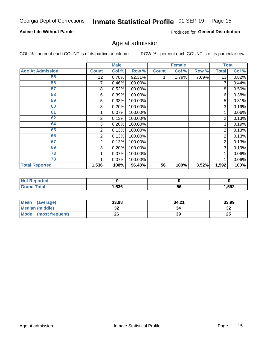### **Active Life Without Parole**

Produced for General Distribution

## Age at admission

COL % - percent each COUNT is of its particular column

|                         |              | <b>Male</b> |         |              | <b>Female</b> |       |                | <b>Total</b> |
|-------------------------|--------------|-------------|---------|--------------|---------------|-------|----------------|--------------|
| <b>Age At Admission</b> | <b>Count</b> | Col %       | Row %   | <b>Count</b> | Col %         | Row % | <b>Total</b>   | Col %        |
| 55                      | 12           | 0.78%       | 92.31%  |              | 1.79%         | 7.69% | 13             | 0.82%        |
| 56                      | 7            | 0.46%       | 100.00% |              |               |       |                | 0.44%        |
| 57                      | 8            | 0.52%       | 100.00% |              |               |       | 8              | 0.50%        |
| 58                      | 6            | 0.39%       | 100.00% |              |               |       | 6              | 0.38%        |
| 59                      | 5            | 0.33%       | 100.00% |              |               |       | 5              | 0.31%        |
| 60                      | 3            | 0.20%       | 100.00% |              |               |       | 3              | 0.19%        |
| 61                      |              | 0.07%       | 100.00% |              |               |       |                | 0.06%        |
| 62                      | 2            | 0.13%       | 100.00% |              |               |       | 2              | 0.13%        |
| 64                      | 3            | 0.20%       | 100.00% |              |               |       | 3              | 0.19%        |
| 65                      | 2            | 0.13%       | 100.00% |              |               |       | 2              | 0.13%        |
| 66                      | 2            | 0.13%       | 100.00% |              |               |       | 2              | 0.13%        |
| 67                      | 2            | 0.13%       | 100.00% |              |               |       | $\overline{2}$ | 0.13%        |
| 69                      | 3            | 0.20%       | 100.00% |              |               |       | 3              | 0.19%        |
| 73                      |              | 0.07%       | 100.00% |              |               |       |                | 0.06%        |
| 78                      |              | 0.07%       | 100.00% |              |               |       |                | 0.06%        |
| <b>Total Reported</b>   | 1,536        | 100%        | 96.48%  | 56           | 100%          | 3.52% | 1,592          | 100%         |

| <b>Not Reported</b> |      |    |        |
|---------------------|------|----|--------|
| <b>Total</b>        | ,536 | ುರ | 592, ا |

| <b>Mean</b><br>(average)       | 33.98    | 34.21 | 33.99    |
|--------------------------------|----------|-------|----------|
| <b>Median (middle)</b>         | ^^<br>JZ |       | ົ<br>-52 |
| <b>Mode</b><br>(most frequent) | 26       | 39    | 25       |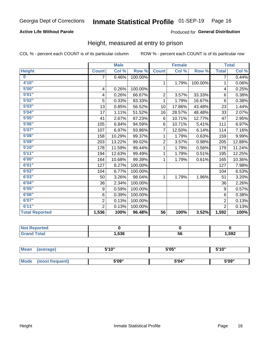### **Active Life Without Parole**

### Produced for General Distribution

### Height, measured at entry to prison

COL % - percent each COUNT is of its particular column

|                       |                | <b>Male</b> |         |                 | <b>Female</b> |         |                | <b>Total</b> |
|-----------------------|----------------|-------------|---------|-----------------|---------------|---------|----------------|--------------|
| <b>Height</b>         | <b>Count</b>   | Col %       | Row %   | <b>Count</b>    | Col %         | Row %   | <b>Total</b>   | Col %        |
| $\bf{0}$              | $\overline{7}$ | 0.46%       | 100.00% |                 |               |         | 7              | 0.44%        |
| 4'10''                |                |             |         | $\mathbf{1}$    | 1.79%         | 100.00% | 1              | $0.06\%$     |
| 5'00''                | 4              | 0.26%       | 100.00% |                 |               |         | 4              | 0.25%        |
| 5'01"                 | 4              | 0.26%       | 66.67%  | $\overline{2}$  | 3.57%         | 33.33%  | 6              | 0.38%        |
| 5'02"                 | 5              | 0.33%       | 83.33%  | 1               | 1.79%         | 16.67%  | $6\phantom{1}$ | 0.38%        |
| 5'03''                | 13             | 0.85%       | 56.52%  | 10              | 17.86%        | 43.48%  | 23             | 1.44%        |
| 5'04"                 | 17             | 1.11%       | 51.52%  | 16              | 28.57%        | 48.48%  | 33             | 2.07%        |
| 5'05"                 | 41             | 2.67%       | 87.23%  | 6               | 10.71%        | 12.77%  | 47             | 2.95%        |
| 5'06''                | 105            | 6.84%       | 94.59%  | 6               | 10.71%        | 5.41%   | 111            | 6.97%        |
| 5'07"                 | 107            | 6.97%       | 93.86%  | 7               | 12.50%        | 6.14%   | 114            | 7.16%        |
| 5'08''                | 158            | 10.29%      | 99.37%  | 1               | 1.79%         | 0.63%   | 159            | 9.99%        |
| 5'09''                | 203            | 13.22%      | 99.02%  | $\overline{c}$  | 3.57%         | 0.98%   | 205            | 12.88%       |
| 5'10''                | 178            | 11.59%      | 99.44%  | 1               | 1.79%         | 0.56%   | 179            | 11.24%       |
| 5'11"                 | 194            | 12.63%      | 99.49%  | 1               | 1.79%         | 0.51%   | 195            | 12.25%       |
| 6'00''                | 164            | 10.68%      | 99.39%  | 1               | 1.79%         | 0.61%   | 165            | 10.36%       |
| 6'01''                | 127            | 8.27%       | 100.00% |                 |               |         | 127            | 7.98%        |
| 6'02"                 | 104            | 6.77%       | 100.00% |                 |               |         | 104            | 6.53%        |
| 6'03''                | 50             | 3.26%       | 98.04%  | $\mathbf{1}$    | 1.79%         | 1.96%   | 51             | 3.20%        |
| 6'04"                 | 36             | 2.34%       | 100.00% |                 |               |         | 36             | 2.26%        |
| 6'05"                 | 9              | 0.59%       | 100.00% |                 |               |         | 9              | 0.57%        |
| 6'06''                | 6              | 0.39%       | 100.00% |                 |               |         | 6              | 0.38%        |
| 6'07''                | $\overline{2}$ | 0.13%       | 100.00% |                 |               |         | $\overline{2}$ | 0.13%        |
| 6'11''                | $\overline{2}$ | 0.13%       | 100.00% |                 |               |         | $\overline{2}$ | 0.13%        |
| <b>Total Reported</b> | 1,536          | 100%        | 96.48%  | $\overline{56}$ | 100%          | 3.52%   | 1,592          | 100%         |

| <b>eported</b> |      |    |       |
|----------------|------|----|-------|
| <b>otal</b>    | ,536 | 56 | 1,592 |

| <b>Mean</b> | (average)       | 5'10" | 5'05" | 5'10'' |  |
|-------------|-----------------|-------|-------|--------|--|
|             |                 |       |       |        |  |
| <b>Mode</b> | (most frequent) | 5'09" | 5'04" | 5'09"  |  |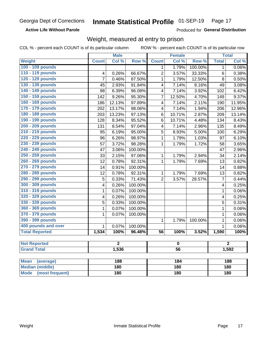### **Active Life Without Parole**

Produced for General Distribution

### Weight, measured at entry to prison

COL % - percent each COUNT is of its particular column

ROW % - percent each COUNT is of its particular row

|                          |                         | <b>Male</b>    |         |                         | <b>Female</b> |         |                | <b>Total</b>   |  |
|--------------------------|-------------------------|----------------|---------|-------------------------|---------------|---------|----------------|----------------|--|
| Weight                   | <b>Count</b>            | Col %          | Row %   | <b>Count</b>            | Col %         | Row %   | <b>Total</b>   | Col %          |  |
| 100 - 109 pounds         |                         |                |         | 1                       | 1.79%         | 100.00% | $\mathbf 1$    | $0.06\%$       |  |
| 110 - 119 pounds         | $\overline{\mathbf{4}}$ | 0.26%          | 66.67%  | $\overline{c}$          | 3.57%         | 33.33%  | $\,6$          | 0.38%          |  |
| 120 - 129 pounds         | 7                       | 0.46%          | 87.50%  | 1                       | 1.79%         | 12.50%  | 8              | 0.50%          |  |
| 130 - 139 pounds         | 45                      | 2.93%          | 91.84%  | 4                       | 7.14%         | 8.16%   | 49             | 3.08%          |  |
| 140 - 149 pounds         | 98                      | 6.39%          | 96.08%  | 4                       | 7.14%         | 3.92%   | 102            | 6.42%          |  |
| 150 - 159 pounds         | 142                     | 9.26%          | 95.30%  | 7                       | 12.50%        | 4.70%   | 149            | 9.37%          |  |
| 160 - 169 pounds         | 186                     | 12.13%         | 97.89%  | $\overline{\mathbf{4}}$ | 7.14%         | 2.11%   | 190            | 11.95%         |  |
| 170 - 179 pounds         | 202                     | 13.17%         | 98.06%  | $\overline{\mathbf{4}}$ | 7.14%         | 1.94%   | 206            | 12.96%         |  |
| 180 - 189 pounds         | 203                     | 13.23%         | 97.13%  | 6                       | 10.71%        | 2.87%   | 209            | 13.14%         |  |
| 190 - 199 pounds         | 128                     | 8.34%          | 95.52%  | 6                       | 10.71%        | 4.48%   | 134            | 8.43%          |  |
| 200 - 209 pounds         | 131                     | 8.54%          | 97.04%  | $\overline{\mathbf{4}}$ | 7.14%         | 2.96%   | 135            | 8.49%          |  |
| 210 - 219 pounds         | 95                      | 6.19%          | 95.00%  | 5                       | 8.93%         | 5.00%   | 100            | 6.29%          |  |
| 220 - 229 pounds         | 96                      | 6.26%          | 98.97%  | $\mathbf{1}$            | 1.79%         | 1.03%   | 97             | 6.10%          |  |
| 230 - 239 pounds         | 57                      | 3.72%          | 98.28%  | 1                       | 1.79%         | 1.72%   | 58             | 3.65%          |  |
| 240 - 249 pounds         | 47                      | 3.06%          | 100.00% |                         |               |         | 47             | 2.96%          |  |
| 250 - 259 pounds         | 33                      | 2.15%          | 97.06%  | $\mathbf{1}$            | 1.79%         | 2.94%   | 34             | 2.14%          |  |
| 260 - 269 pounds         | 12                      | 0.78%          | 92.31%  | $\mathbf 1$             | 1.79%         | 7.69%   | 13             | 0.82%          |  |
| 270 - 279 pounds         | 14                      | 0.91%          | 100.00% |                         |               |         | 14             | 0.88%          |  |
| 280 - 289 pounds         | 12                      | 0.78%          | 92.31%  | 1                       | 1.79%         | 7.69%   | 13             | 0.82%          |  |
| 290 - 299 pounds         | 5                       | 0.33%          | 71.43%  | $\overline{2}$          | 3.57%         | 28.57%  | $\overline{7}$ | 0.44%          |  |
| 300 - 309 pounds         | 4                       | 0.26%          | 100.00% |                         |               |         | 4              | 0.25%          |  |
| 310 - 319 pounds         | 1                       | 0.07%          | 100.00% |                         |               |         | $\mathbf{1}$   | 0.06%          |  |
| 320 - 329 pounds         | 4                       | 0.26%          | 100.00% |                         |               |         | 4              | 0.25%          |  |
| 330 - 339 pounds         | $\overline{5}$          | 0.33%          | 100.00% |                         |               |         | 5              | 0.31%          |  |
| 360 - 369 pounds         | 1                       | 0.07%          | 100.00% |                         |               |         | $\mathbf{1}$   | 0.06%          |  |
| 370 - 379 pounds         | $\overline{1}$          | 0.07%          | 100.00% |                         |               |         | $\mathbf{1}$   | 0.06%          |  |
| 390 - 399 pounds         |                         |                |         | 1                       | 1.79%         | 100.00% | $\mathbf{1}$   | 0.06%          |  |
| 400 pounds and over      | $\mathbf{1}$            | 0.07%          | 100.00% |                         |               |         | $\mathbf{1}$   | 0.06%          |  |
| <b>Total Reported</b>    | 1,534                   | 100%           | 96.48%  | $\overline{56}$         | 100%          | 3.52%   | 1,590          | 100%           |  |
|                          |                         |                |         |                         |               |         |                |                |  |
| <b>Not Reported</b>      |                         | $\overline{2}$ |         | $\overline{\mathbf{0}}$ |               |         |                | $\overline{2}$ |  |
| <b>Grand Total</b>       |                         | 1,536          |         | $\overline{56}$         |               |         | 1,592          |                |  |
|                          |                         |                |         |                         |               |         |                |                |  |
| <b>Mean</b><br>(average) |                         | 188            |         |                         | 184           |         |                | 188            |  |
| <b>Median (middle)</b>   |                         | 180            |         | <b>180</b>              |               |         | 180            |                |  |

**Mode** 

(most frequent)

 $180$ 

**180** 

 $180$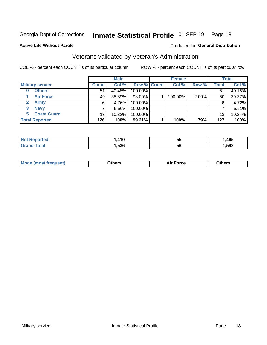#### Inmate Statistical Profile 01-SEP-19 Page 18

Produced for General Distribution

### **Active Life Without Parole**

### Veterans validated by Veteran's Administration

COL % - percent each COUNT is of its particular column

|                          |              | <b>Male</b> |                    | <b>Female</b> |       |              | <b>Total</b> |
|--------------------------|--------------|-------------|--------------------|---------------|-------|--------------|--------------|
| <b>Military service</b>  | <b>Count</b> | Col %       | <b>Row % Count</b> | Col %         | Row % | <b>Total</b> | Col %        |
| <b>Others</b><br>0       | 51           | 40.48%      | 100.00%            |               |       | 51           | 40.16%       |
| <b>Air Force</b>         | 49           | 38.89%      | 98.00%             | 100.00%       | 2.00% | 50           | 39.37%       |
| <b>Army</b>              | 6            | 4.76%       | 100.00%            |               |       | 6            | 4.72%        |
| <b>Navy</b><br>3         |              | $5.56\%$    | 100.00%            |               |       |              | 5.51%        |
| <b>Coast Guard</b><br>5. | 13           | 10.32%      | 100.00%            |               |       | 13           | 10.24%       |
| <b>Total Reported</b>    | 126          | 100%        | $99.21\%$          | 100%          | .79%  | 127          | 100%         |

| тес          | $\lambda$ 40<br>2 I V | --<br>ು | ,465 |
|--------------|-----------------------|---------|------|
| <b>Total</b> | .536                  | -5t     | ,592 |

| <b>Mode</b><br>™orce<br>วthers<br>de (most frequent)<br>วthers |
|----------------------------------------------------------------|
|----------------------------------------------------------------|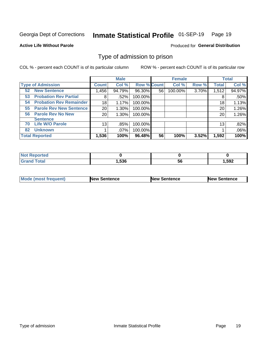#### Inmate Statistical Profile 01-SEP-19 Page 19

**Active Life Without Parole** 

Produced for General Distribution

### Type of admission to prison

COL % - percent each COUNT is of its particular column

|                                      |                 | <b>Male</b> |                    |    | <b>Female</b> |       |              | <b>Total</b> |
|--------------------------------------|-----------------|-------------|--------------------|----|---------------|-------|--------------|--------------|
| <b>Type of Admission</b>             | <b>Count</b>    | Col %       | <b>Row % Count</b> |    | Col %         | Row % | <b>Total</b> | Col %        |
| <b>New Sentence</b><br>52            | 1,456           | 94.79%      | 96.30%             | 56 | 100.00%       | 3.70% | 1,512        | 94.97%       |
| <b>Probation Rev Partial</b><br>53   | 8               | .52%        | 100.00%            |    |               |       | 8            | .50%         |
| <b>Probation Rev Remainder</b><br>54 | 18              | 1.17%       | 100.00%            |    |               |       | 18           | 1.13%        |
| <b>Parole Rev New Sentence</b><br>55 | 20              | 1.30%       | 100.00%            |    |               |       | 20           | 1.26%        |
| <b>Parole Rev No New</b><br>56       | 20              | 1.30%       | 100.00%            |    |               |       | 20           | 1.26%        |
| <b>Sentence</b>                      |                 |             |                    |    |               |       |              |              |
| <b>Life W/O Parole</b><br>70         | 13 <sub>1</sub> | .85%        | 100.00%            |    |               |       | 13           | .82%         |
| <b>Unknown</b><br>82                 |                 | $.07\%$     | 100.00%            |    |               |       |              | .06%         |
| <b>Total Reported</b>                | 1,536           | 100%        | 96.48%             | 56 | 100%          | 3.52% | 1,592        | 100%         |

| Reported<br><b>NOT</b> |       |           |      |
|------------------------|-------|-----------|------|
| <b>Total</b><br>"Gran. | .,536 | - -<br>วง | .592 |

| <b>Mode (most frequent)</b> | <b>New Sentence</b> | <b>New Sentence</b> | <b>New Sentence</b> |
|-----------------------------|---------------------|---------------------|---------------------|
|                             |                     |                     |                     |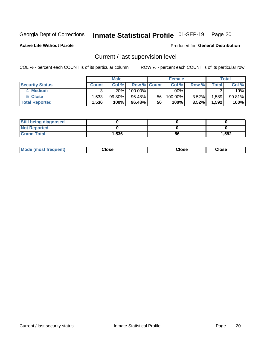## Inmate Statistical Profile 01-SEP-19 Page 20

**Active Life Without Parole** 

Produced for General Distribution

## Current / last supervision level

COL % - percent each COUNT is of its particular column

|                        |              | <b>Male</b> |                    |    | <b>Female</b> |          |       | <b>Total</b> |
|------------------------|--------------|-------------|--------------------|----|---------------|----------|-------|--------------|
| <b>Security Status</b> | <b>Count</b> | Col%        | <b>Row % Count</b> |    | Col %         | Row %    | Total | Col %        |
| 4 Medium               | ົ            | .20% '      | $100.00\%$         |    | .00%          |          |       | .19%         |
| 5 Close                | 1.5331       | 99.80%      | 96.48%             | 56 | 100.00%       | $3.52\%$ | .589  | 99.81%       |
| <b>Total Reported</b>  | 1,536        | 100%        | 96.48%             | 56 | 100%          | 3.52%    | 1,592 | 100%         |

| <b>Still being diagnosed</b> |       |    |       |
|------------------------------|-------|----|-------|
| <b>Not Reported</b>          |       |    |       |
| <b>Grand Total</b>           | 1,536 | 56 | 1,592 |

| <b>AhoM</b><br>rreauent) | <b>Close</b> | Close | Close |
|--------------------------|--------------|-------|-------|
|                          |              |       |       |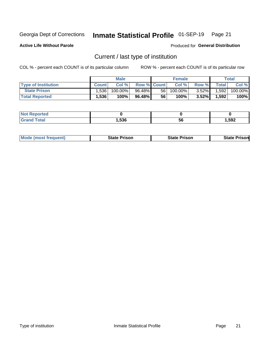## Inmate Statistical Profile 01-SEP-19 Page 21

**Active Life Without Parole** 

Produced for General Distribution

## Current / last type of institution

COL % - percent each COUNT is of its particular column

|                            |              | <b>Male</b> |                    |                 | <b>Female</b> |          |       | Total   |
|----------------------------|--------------|-------------|--------------------|-----------------|---------------|----------|-------|---------|
| <b>Type of Institution</b> | <b>Count</b> | Col%        | <b>Row % Count</b> |                 | Col %         | Row %    | Total | Col %   |
| <b>State Prison</b>        | 1.536        | 100.00%     | 96.48%             | 56 <sub>1</sub> | 100.00%       | $3.52\%$ | 1,592 | 100.00% |
| <b>Total Reported</b>      | 1,536        | 100%        | 96.48%             | 56              | 100%          | $3.52\%$ | 1,592 | 100%    |

| tet |                   |    |       |
|-----|-------------------|----|-------|
|     | <b>EOC</b><br>. . | эt | 1,592 |

|  | <b>Mode (most frequent)</b> | State Prison | <b>State Prison</b> | <b>State Prison</b> |
|--|-----------------------------|--------------|---------------------|---------------------|
|--|-----------------------------|--------------|---------------------|---------------------|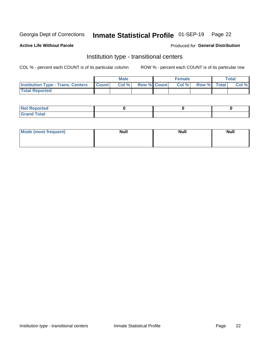## Inmate Statistical Profile 01-SEP-19 Page 22

### **Active Life Without Parole**

### Produced for General Distribution

### Institution type - transitional centers

COL % - percent each COUNT is of its particular column

|                                                  | <b>Male</b> |                    | <b>Female</b> |             | Total |
|--------------------------------------------------|-------------|--------------------|---------------|-------------|-------|
| <b>Institution Type - Trans. Centers Count  </b> | Col%        | <b>Row % Count</b> | Col %         | Row % Total | Col % |
| <b>Total Reported</b>                            |             |                    |               |             |       |

| <b>Reported</b><br><b>NOT</b><br>$\sim$            |  |  |
|----------------------------------------------------|--|--|
| $f$ $f \circ f \circ f$<br>$C = 1$<br><b>TULAI</b> |  |  |

| Mode (most frequent) | <b>Null</b> | <b>Null</b> | <b>Null</b> |
|----------------------|-------------|-------------|-------------|
|                      |             |             |             |
|                      |             |             |             |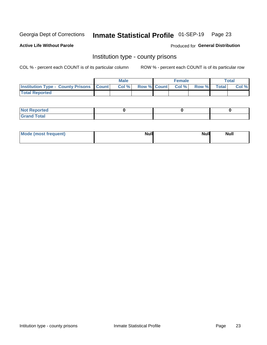## Inmate Statistical Profile 01-SEP-19 Page 23

**Active Life Without Parole** 

**Produced for General Distribution** 

### Institution type - county prisons

COL % - percent each COUNT is of its particular column

|                                                    | <b>Male</b> |       |  | <b>Female</b> |                          |             | <b>Total</b> |       |
|----------------------------------------------------|-------------|-------|--|---------------|--------------------------|-------------|--------------|-------|
| <b>Institution Type - County Prisons   Count  </b> |             | Col % |  |               | <b>Row % Count Col %</b> | Row % Total |              | Col % |
| <b>Total Reported</b>                              |             |       |  |               |                          |             |              |       |

| <b>Not</b><br>: Reported<br> |  |  |
|------------------------------|--|--|
| <b>Total</b><br>---          |  |  |

| Mode (most frequent) | <b>Null</b> | <b>Null</b><br><b>Null</b> |
|----------------------|-------------|----------------------------|
|                      |             |                            |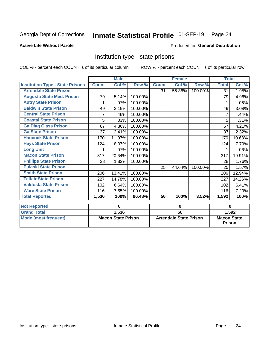## Inmate Statistical Profile 01-SEP-19 Page 24

### **Active Life Without Parole**

### Produced for General Distribution

### Institution type - state prisons

COL % - percent each COUNT is of its particular column ROW % - percent each COUNT is of its particular row

|                                         | <b>Male</b>               |        |         | <b>Female</b>                 |        |         | <b>Total</b>                        |          |
|-----------------------------------------|---------------------------|--------|---------|-------------------------------|--------|---------|-------------------------------------|----------|
| <b>Institution Type - State Prisons</b> | <b>Count</b>              | Col %  | Row %   | <b>Count</b>                  | Col %  | Row %   | <b>Total</b>                        | Col %    |
| <b>Arrendale State Prison</b>           |                           |        |         | 31                            | 55.36% | 100.00% | 31                                  | 1.95%    |
| <b>Augusta State Med. Prison</b>        | 79                        | 5.14%  | 100.00% |                               |        |         | 79                                  | 4.96%    |
| <b>Autry State Prison</b>               |                           | .07%   | 100.00% |                               |        |         |                                     | .06%     |
| <b>Baldwin State Prison</b>             | 49                        | 3.19%  | 100.00% |                               |        |         | 49                                  | 3.08%    |
| <b>Central State Prison</b>             | 7                         | .46%   | 100.00% |                               |        |         | 7                                   | .44%     |
| <b>Coastal State Prison</b>             | 5                         | .33%   | 100.00% |                               |        |         | 5                                   | .31%     |
| <b>Ga Diag Class Prison</b>             | 67                        | 4.36%  | 100.00% |                               |        |         | 67                                  | 4.21%    |
| <b>Ga State Prison</b>                  | 37                        | 2.41%  | 100.00% |                               |        |         | 37                                  | 2.32%    |
| <b>Hancock State Prison</b>             | 170                       | 11.07% | 100.00% |                               |        |         | 170                                 | 10.68%   |
| <b>Hays State Prison</b>                | 124                       | 8.07%  | 100.00% |                               |        |         | 124                                 | 7.79%    |
| <b>Long Unit</b>                        | 1                         | .07%   | 100.00% |                               |        |         |                                     | .06%     |
| <b>Macon State Prison</b>               | 317                       | 20.64% | 100.00% |                               |        |         | 317                                 | 19.91%   |
| <b>Phillips State Prison</b>            | 28                        | 1.82%  | 100.00% |                               |        |         | 28                                  | 1.76%    |
| <b>Pulaski State Prison</b>             |                           |        |         | 25                            | 44.64% | 100.00% | 25                                  | 1.57%    |
| <b>Smith State Prison</b>               | 206                       | 13.41% | 100.00% |                               |        |         | 206                                 | 12.94%   |
| <b>Telfair State Prison</b>             | 227                       | 14.78% | 100.00% |                               |        |         | 227                                 | 14.26%   |
| <b>Valdosta State Prison</b>            | 102                       | 6.64%  | 100.00% |                               |        |         | 102                                 | 6.41%    |
| <b>Ware State Prison</b>                | 116                       | 7.55%  | 100.00% |                               |        |         | 116                                 | 7.29%    |
| <b>Total Reported</b>                   | 1,536                     | 100%   | 96.48%  | 56                            | 100%   | 3.52%   | 1,592                               | 100%     |
| <b>Not Reported</b>                     |                           | 0      |         | 0                             |        |         |                                     | $\bf{0}$ |
| <b>Grand Total</b>                      |                           | 1,536  |         | $\overline{56}$               |        |         |                                     | 1,592    |
| <b>Mode (most frequent)</b>             | <b>Macon State Prison</b> |        |         | <b>Arrendale State Prison</b> |        |         | <b>Macon State</b><br><b>Prison</b> |          |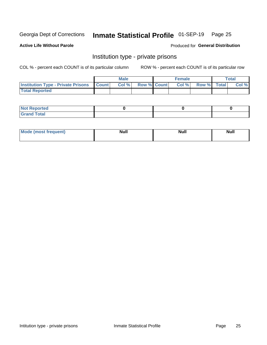## Inmate Statistical Profile 01-SEP-19 Page 25

**Active Life Without Parole** 

Produced for General Distribution

### Institution type - private prisons

COL % - percent each COUNT is of its particular column

|                                                 | <b>Male</b> |      |                    | <b>Female</b> |       |             | Total |       |
|-------------------------------------------------|-------------|------|--------------------|---------------|-------|-------------|-------|-------|
| <b>Institution Type - Private Prisons Count</b> |             | Col% | <b>Row % Count</b> |               | Col % | Row % Total |       | Col % |
| <b>Total Reported</b>                           |             |      |                    |               |       |             |       |       |

| <b>Reported</b><br><b>NOT</b><br>$\sim$            |  |  |
|----------------------------------------------------|--|--|
| $f$ $f \circ f \circ f$<br>$C = 1$<br><b>TULAI</b> |  |  |

| <b>Mo</b><br>frequent) | <b>Null</b> | <b>Null</b> | . . I *<br><b>IVUII</b> |
|------------------------|-------------|-------------|-------------------------|
|                        |             |             |                         |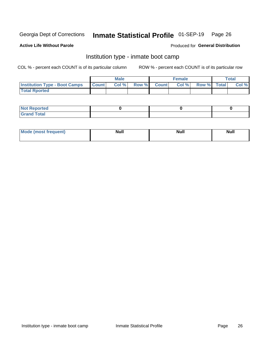#### Inmate Statistical Profile 01-SEP-19 Page 26

### **Active Life Without Parole**

### Produced for General Distribution

### Institution type - inmate boot camp

COL % - percent each COUNT is of its particular column

|                                      | <b>Male</b>  |       |               |              | <b>Female</b> | <b>Total</b> |  |       |
|--------------------------------------|--------------|-------|---------------|--------------|---------------|--------------|--|-------|
| <b>Institution Type - Boot Camps</b> | <b>Count</b> | Col % | <b>Row %I</b> | <b>Count</b> | Col %         | Row % Total  |  | Col % |
| <b>Total Rported</b>                 |              |       |               |              |               |              |  |       |

| <b>Not Reported</b>            |  |  |
|--------------------------------|--|--|
| <b>Total</b><br>C <sub>r</sub> |  |  |

| Mod<br>uamo | Nul.<br>$- - - - - -$ | <b>Null</b> | <br>uu.<br>------ |
|-------------|-----------------------|-------------|-------------------|
|             |                       |             |                   |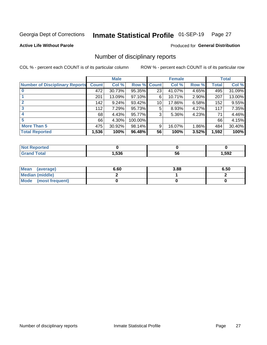#### Inmate Statistical Profile 01-SEP-19 Page 27

**Active Life Without Parole** 

Produced for General Distribution

### Number of disciplinary reports

COL % - percent each COUNT is of its particular column

|                                       | <b>Male</b>  |        |             |    | <b>Female</b> | <b>Total</b> |       |        |
|---------------------------------------|--------------|--------|-------------|----|---------------|--------------|-------|--------|
| <b>Number of Disciplinary Reports</b> | <b>Count</b> | Col %  | Row % Count |    | Col %         | Row %        | Total | Col %  |
|                                       | 472          | 30.73% | 95.35%      | 23 | 41.07%        | 4.65%        | 495   | 31.09% |
|                                       | 201          | 13.09% | 97.10%      | 6  | 10.71%        | $2.90\%$     | 207   | 13.00% |
|                                       | 142          | 9.24%  | 93.42%      | 10 | 17.86%        | 6.58%        | 152   | 9.55%  |
| 3                                     | 112          | 7.29%  | 95.73%      | 5  | 8.93%         | 4.27%        | 117   | 7.35%  |
|                                       | 68           | 4.43%  | 95.77%      | 3  | 5.36%         | 4.23%        | 71    | 4.46%  |
| 5                                     | 66           | 4.30%  | 100.00%     |    |               |              | 66    | 4.15%  |
| <b>More Than 5</b>                    | 475          | 30.92% | 98.14%      | 9  | 16.07%        | $1.86\%$     | 484   | 30.40% |
| <b>Total Reported</b>                 | 1,536        | 100%   | 96.48%      | 56 | 100%          | 3.52%        | 1,592 | 100%   |

| NO<br>тео |      |    |      |
|-----------|------|----|------|
| Γotal     | .536 | ວບ | ,592 |

| Mean (average)       | 6.60 | 3.88 | 6.50 |
|----------------------|------|------|------|
| Median (middle)      |      |      |      |
| Mode (most frequent) |      |      |      |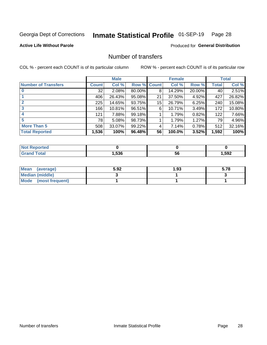## Inmate Statistical Profile 01-SEP-19 Page 28

### **Active Life Without Parole**

### **Produced for General Distribution**

### Number of transfers

COL % - percent each COUNT is of its particular column

|                            | <b>Male</b> |        | <b>Female</b> |              |        | <b>Total</b> |              |        |
|----------------------------|-------------|--------|---------------|--------------|--------|--------------|--------------|--------|
| <b>Number of Transfers</b> | Count l     | Col %  | Row %         | <b>Count</b> | Col %  | Row %        | <b>Total</b> | Col %  |
|                            | 32          | 2.08%  | 80.00%        | 8            | 14.29% | 20.00%       | 40           | 2.51%  |
|                            | 406         | 26.43% | 95.08%        | 21           | 37.50% | 4.92%        | 427          | 26.82% |
| $\mathbf{2}$               | 225         | 14.65% | 93.75%        | 15           | 26.79% | 6.25%        | 240          | 15.08% |
| 3                          | 166         | 10.81% | 96.51%        | 6            | 10.71% | 3.49%        | 172          | 10.80% |
|                            | 121         | 7.88%  | 99.18%        |              | 1.79%  | 0.82%        | 122          | 7.66%  |
| 5                          | 78          | 5.08%  | 98.73%        |              | 1.79%  | 1.27%        | 79           | 4.96%  |
| <b>More Than 5</b>         | 508         | 33.07% | 99.22%        | 4            | 7.14%  | 0.78%        | 512          | 32.16% |
| <b>Total Reported</b>      | 1,536       | 100%   | 96.48%        | 56           | 100.0% | 3.52%        | 1,592        | 100%   |

| NO    |      |    |       |
|-------|------|----|-------|
| Γotal | .536 | วง | 592,ا |

| Mean (average)       | 5.92 | 1.93 | 5.78 |
|----------------------|------|------|------|
| Median (middle)      |      |      |      |
| Mode (most frequent) |      |      |      |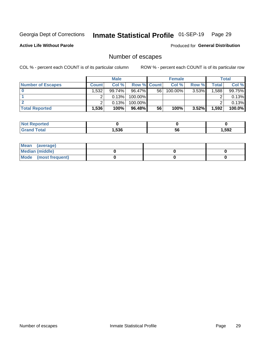## Inmate Statistical Profile 01-SEP-19 Page 29

**Active Life Without Parole** 

Produced for General Distribution

## Number of escapes

COL % - percent each COUNT is of its particular column

|                          | <b>Male</b>  |        |                    | <b>Female</b> |         |          | Total  |        |
|--------------------------|--------------|--------|--------------------|---------------|---------|----------|--------|--------|
| <b>Number of Escapes</b> | <b>Count</b> | Col %  | <b>Row % Count</b> |               | Col %   | Row %    | Total  | Col %  |
|                          | .532         | 99.74% | 96.47%             | 56            | 100.00% | $3.53\%$ | ا 588. | 99.75% |
|                          |              | 0.13%  | 100.00%            |               |         |          |        | 0.13%  |
|                          |              | 0.13%  | 100.00%            |               |         |          |        | 0.13%  |
| <b>Total Reported</b>    | $.536+$      | 100%   | $96.48\%$          | 56            | 100%    | $3.52\%$ | 1,592  | 100.0% |

| rtea<br><b>NOT</b> |      |    |       |
|--------------------|------|----|-------|
| `otal<br>Grand     | .536 | 56 | 1,592 |

| Mean (average)       |  |  |
|----------------------|--|--|
| Median (middle)      |  |  |
| Mode (most frequent) |  |  |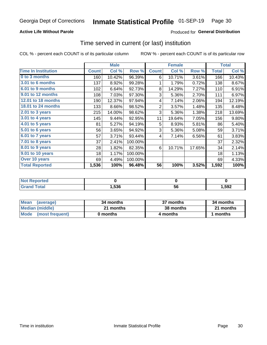### **Active Life Without Parole**

### **Produced for General Distribution**

### Time served in current (or last) institution

COL % - percent each COUNT is of its particular column

|                            |              | <b>Male</b> |         | <b>Female</b>  |        |        | <b>Total</b> |        |
|----------------------------|--------------|-------------|---------|----------------|--------|--------|--------------|--------|
| <b>Time In Institution</b> | <b>Count</b> | Col %       | Row %   | <b>Count</b>   | Col %  | Row %  | <b>Total</b> | Col %  |
| 0 to 3 months              | 160          | 10.42%      | 96.39%  | 6              | 10.71% | 3.61%  | 166          | 10.43% |
| <b>3.01 to 6 months</b>    | 137          | 8.92%       | 99.28%  | 1              | 1.79%  | 0.72%  | 138          | 8.67%  |
| 6.01 to 9 months           | 102          | 6.64%       | 92.73%  | 8              | 14.29% | 7.27%  | 110          | 6.91%  |
| 9.01 to 12 months          | 108          | 7.03%       | 97.30%  | 3              | 5.36%  | 2.70%  | 111          | 6.97%  |
| <b>12.01 to 18 months</b>  | 190          | 12.37%      | 97.94%  | 4              | 7.14%  | 2.06%  | 194          | 12.19% |
| <b>18.01 to 24 months</b>  | 133          | 8.66%       | 98.52%  | $\overline{2}$ | 3.57%  | 1.48%  | 135          | 8.48%  |
| $2.01$ to 3 years          | 215          | 14.00%      | 98.62%  | 3              | 5.36%  | 1.38%  | 218          | 13.69% |
| 3.01 to 4 years            | 145          | 9.44%       | 92.95%  | 11             | 19.64% | 7.05%  | 156          | 9.80%  |
| $4.01$ to 5 years          | 81           | 5.27%       | 94.19%  | 5              | 8.93%  | 5.81%  | 86           | 5.40%  |
| 5.01 to 6 years            | 56           | 3.65%       | 94.92%  | 3              | 5.36%  | 5.08%  | 59           | 3.71%  |
| 6.01 to 7 years            | 57           | 3.71%       | 93.44%  | 4              | 7.14%  | 6.56%  | 61           | 3.83%  |
| $7.01$ to 8 years          | 37           | 2.41%       | 100.00% |                |        |        | 37           | 2.32%  |
| 8.01 to 9 years            | 28           | 1.82%       | 82.35%  | 6              | 10.71% | 17.65% | 34           | 2.14%  |
| 9.01 to 10 years           | 18           | 1.17%       | 100.00% |                |        |        | 18           | 1.13%  |
| Over 10 years              | 69           | 4.49%       | 100.00% |                |        |        | 69           | 4.33%  |
| <b>Total Reported</b>      | 1,536        | 100%        | 96.48%  | 56             | 100%   | 3.52%  | 1,592        | 100%   |

| <b>Not Reported</b> |       |     |      |
|---------------------|-------|-----|------|
| $f \circ f \circ f$ | .,536 | ືບປ | ,592 |

| <b>Mean</b><br>(average) | 34 months | 37 months | 34 months |  |  |
|--------------------------|-----------|-----------|-----------|--|--|
| Median (middle)          | 21 months | 38 months | 21 months |  |  |
| Mode (most frequent)     | 0 months  | 4 months  | ∣ months  |  |  |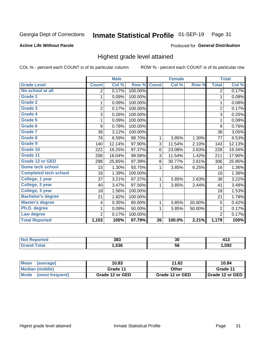#### Inmate Statistical Profile 01-SEP-19 Page 31

### **Active Life Without Parole**

### Produced for General Distribution

### Highest grade level attained

COL % - percent each COUNT is of its particular column

|                              |                | <b>Male</b> |         |                 | <b>Female</b> |        |                | <b>Total</b> |
|------------------------------|----------------|-------------|---------|-----------------|---------------|--------|----------------|--------------|
| <b>Grade Level</b>           | <b>Count</b>   | Col %       | Row %   | <b>Count</b>    | Col %         | Row %  | <b>Total</b>   | Col %        |
| No school at all             | 2              | 0.17%       | 100.00% |                 |               |        | $\overline{2}$ | 0.17%        |
| <b>Grade 1</b>               | 1              | 0.09%       | 100.00% |                 |               |        | 1              | 0.08%        |
| <b>Grade 2</b>               | 1              | 0.09%       | 100.00% |                 |               |        | 1              | 0.08%        |
| <b>Grade 3</b>               | $\overline{2}$ | 0.17%       | 100.00% |                 |               |        | $\overline{2}$ | 0.17%        |
| Grade 4                      | 3              | 0.26%       | 100.00% |                 |               |        | 3              | 0.25%        |
| Grade 5                      | 1              | 0.09%       | 100.00% |                 |               |        | 1              | 0.08%        |
| Grade 6                      | 9              | 0.78%       | 100.00% |                 |               |        | 9              | 0.76%        |
| <b>Grade 7</b>               | 36             | 3.12%       | 100.00% |                 |               |        | 36             | 3.05%        |
| <b>Grade 8</b>               | 76             | 6.59%       | 98.70%  | 1               | 3.85%         | 1.30%  | 77             | 6.53%        |
| Grade 9                      | 140            | 12.14%      | 97.90%  | 3               | 11.54%        | 2.10%  | 143            | 12.13%       |
| Grade 10                     | 222            | 19.25%      | 97.37%  | 6               | 23.08%        | 2.63%  | 228            | 19.34%       |
| Grade 11                     | 208            | 18.04%      | 98.58%  | 3               | 11.54%        | 1.42%  | 211            | 17.90%       |
| <b>Grade 12 or GED</b>       | 298            | 25.85%      | 97.39%  | 8               | 30.77%        | 2.61%  | 306            | 25.95%       |
| Some tech school             | 15             | 1.30%       | 93.75%  | 1               | 3.85%         | 6.25%  | 16             | 1.36%        |
| <b>Completed tech school</b> | 16             | 1.39%       | 100.00% |                 |               |        | 16             | 1.36%        |
| College, 1 year              | 37             | 3.21%       | 97.37%  | 1               | 3.85%         | 2.63%  | 38             | 3.22%        |
| College, 2 year              | 40             | 3.47%       | 97.56%  | 1               | 3.85%         | 2.44%  | 41             | 3.48%        |
| College, 3 year              | 18             | 1.56%       | 100.00% |                 |               |        | 18             | 1.53%        |
| <b>Bachelor's degree</b>     | 21             | 1.82%       | 100.00% |                 |               |        | 21             | 1.78%        |
| <b>Master's degree</b>       | 4              | 0.35%       | 80.00%  | 1               | 3.85%         | 20.00% | 5              | 0.42%        |
| Ph.D. degree                 | 1              | 0.09%       | 50.00%  | 1               | 3.85%         | 50.00% | $\overline{2}$ | 0.17%        |
| Law degree                   | $\overline{2}$ | 0.17%       | 100.00% |                 |               |        | $\overline{2}$ | 0.17%        |
| <b>Total Reported</b>        | 1,153          | 100%        | 97.79%  | $\overline{26}$ | 100.0%        | 2.21%  | 1,179          | 100%         |

| orted | 383  | 30 |      |
|-------|------|----|------|
| otal  | .536 | วง | ,592 |

| <b>Mean</b><br>(average) | 10.83           | 11.62           | 10.84           |
|--------------------------|-----------------|-----------------|-----------------|
| <b>Median (middle)</b>   | Grade 11        | Other           | Grade 11        |
| Mode<br>(most frequent)  | Grade 12 or GED | Grade 12 or GED | Grade 12 or GED |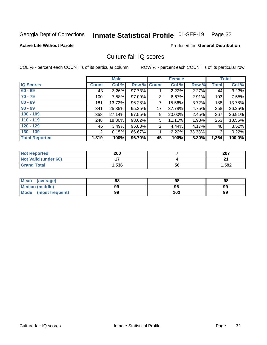#### Inmate Statistical Profile 01-SEP-19 Page 32

### **Active Life Without Parole**

### **Produced for General Distribution**

### Culture fair IQ scores

COL % - percent each COUNT is of its particular column

|                       |              | <b>Male</b> |                    |                | <b>Female</b> |          |              | <b>Total</b> |
|-----------------------|--------------|-------------|--------------------|----------------|---------------|----------|--------------|--------------|
| <b>IQ Scores</b>      | <b>Count</b> | Col %       | <b>Row % Count</b> |                | Col %         | Row %    | <b>Total</b> | Col %        |
| $60 - 69$             | 43           | $3.26\%$    | 97.73%             |                | 2.22%         | $2.27\%$ | 44           | 3.23%        |
| $70 - 79$             | 100          | 7.58%       | 97.09%             | 3              | 6.67%         | 2.91%    | 103          | 7.55%        |
| $80 - 89$             | 181          | 13.72%      | 96.28%             | 7              | 15.56%        | 3.72%    | 188          | 13.78%       |
| $90 - 99$             | 341          | 25.85%      | 95.25%             | 17             | 37.78%        | 4.75%    | 358          | 26.25%       |
| $100 - 109$           | 358          | 27.14%      | 97.55%             | 9              | 20.00%        | 2.45%    | 367          | 26.91%       |
| $110 - 119$           | 248          | 18.80%      | 98.02%             | 5              | 11.11%        | 1.98%    | 253          | 18.55%       |
| $120 - 129$           | 46           | 3.49%       | 95.83%             | $\overline{2}$ | 4.44%         | 4.17%    | 48           | 3.52%        |
| $130 - 139$           | 2            | 0.15%       | 66.67%             | 1              | 2.22%         | 33.33%   | 3            | 0.22%        |
| <b>Total Reported</b> | 1,319        | 100%        | 96.70%             | 45             | 100%          | 3.30%    | 1,364        | 100.0%       |

| <b>Not Reported</b>         | 200            |    | 207   |
|-----------------------------|----------------|----|-------|
| <b>Not Valid (under 60)</b> | $\blacksquare$ |    | n,    |
| <b>Grand Total</b>          | 1,536          | 56 | 1,592 |

| Mean<br>(average)       | 98 | 98  | 98 |
|-------------------------|----|-----|----|
| <b>Median (middle)</b>  | 99 | 96  | 99 |
| Mode<br>(most frequent) | 99 | 102 | 99 |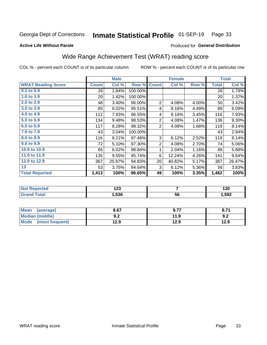#### Inmate Statistical Profile 01-SEP-19 Page 33

### **Active Life Without Parole**

### Produced for General Distribution

### Wide Range Achievement Test (WRAT) reading score

COL % - percent each COUNT is of its particular column

ROW % - percent each COUNT is of its particular row

 $\overline{56}$ 

|                           |                 | <b>Male</b> |         |                 | <b>Female</b> |       |              | <b>Total</b> |
|---------------------------|-----------------|-------------|---------|-----------------|---------------|-------|--------------|--------------|
| <b>WRAT Reading Score</b> | <b>Count</b>    | Col %       | Row %   | <b>Count</b>    | Col %         | Row % | <b>Total</b> | Col %        |
| 0.1 to 0.9                | 26              | 1.84%       | 100.00% |                 |               |       | 26           | 1.78%        |
| 1.0 to 1.9                | 20 <sup>2</sup> | 1.42%       | 100.00% |                 |               |       | 20           | 1.37%        |
| 2.0 to 2.9                | 48              | 3.40%       | 96.00%  | $\overline{2}$  | 4.08%         | 4.00% | 50           | 3.42%        |
| 3.0 to 3.9                | 85              | 6.02%       | 95.51%  | 4               | 8.16%         | 4.49% | 89           | 6.09%        |
| 4.0 to 4.9                | 112             | 7.93%       | 96.55%  | 4               | 8.16%         | 3.45% | 116          | 7.93%        |
| 5.0 to 5.9                | 134             | 9.48%       | 98.53%  | $\mathbf 2$     | 4.08%         | 1.47% | 136          | 9.30%        |
| 6.0 to 6.9                | 117             | 8.28%       | 98.32%  | 2               | 4.08%         | 1.68% | 119          | 8.14%        |
| 7.0 to 7.9                | 43              | 3.04%       | 100.00% |                 |               |       | 43           | 2.94%        |
| 8.0 to 8.9                | 116             | 8.21%       | 97.48%  | 3               | 6.12%         | 2.52% | 119          | 8.14%        |
| 9.0 to 9.9                | 72              | 5.10%       | 97.30%  | $\overline{2}$  | 4.08%         | 2.70% | 74           | 5.06%        |
| 10.0 to 10.9              | 85              | 6.02%       | 98.84%  | 1               | 2.04%         | 1.16% | 86           | 5.88%        |
| 11.0 to 11.9              | 135             | 9.55%       | 95.74%  | 6               | 12.24%        | 4.26% | 141          | 9.64%        |
| 12.0 to 12.9              | 367             | 25.97%      | 94.83%  | 20 <sup>°</sup> | 40.82%        | 5.17% | 387          | 26.47%       |
| 13                        | 53              | 3.75%       | 94.64%  | 3               | 6.12%         | 5.36% | 56           | 3.83%        |
| <b>Total Reported</b>     | 1,413           | 100%        | 96.65%  | 49              | 100%          | 3.35% | 1,462        | 100%         |
|                           |                 |             |         |                 |               |       |              |              |
| <b>Not Reported</b>       |                 | 123         |         |                 | 7             |       |              | 130          |

| <b>Mean</b><br>(average) | 8.67       | 9.77 | 8.71 |
|--------------------------|------------|------|------|
| <b>Median (middle)</b>   | י ה<br>J.Z | 11.9 | 9.2  |
| Mode<br>(most frequent)  | 12.9       | 12.9 | 12.9 |

1,536

**Grand Total** 

 $1,592$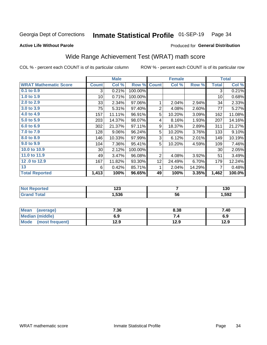#### Inmate Statistical Profile 01-SEP-19 Page 34

Produced for General Distribution

### **Active Life Without Parole**

## Wide Range Achievement Test (WRAT) math score

COL % - percent each COUNT is of its particular column

|                              |                 | <b>Male</b> |         |                 | <b>Female</b> |        |              | <b>Total</b> |
|------------------------------|-----------------|-------------|---------|-----------------|---------------|--------|--------------|--------------|
| <b>WRAT Mathematic Score</b> | <b>Count</b>    | Col %       | Row %   | <b>Count</b>    | Col %         | Row %  | <b>Total</b> | Col %        |
| $0.1$ to $0.9$               | 3               | 0.21%       | 100.00% |                 |               |        | 3            | 0.21%        |
| 1.0 to 1.9                   | 10 <sup>1</sup> | 0.71%       | 100.00% |                 |               |        | 10           | 0.68%        |
| 2.0 to 2.9                   | 33              | 2.34%       | 97.06%  | 1               | 2.04%         | 2.94%  | 34           | 2.33%        |
| 3.0 to 3.9                   | 75              | 5.31%       | 97.40%  | $\overline{2}$  | 4.08%         | 2.60%  | 77           | 5.27%        |
| 4.0 to 4.9                   | 157             | 11.11%      | 96.91%  | 5               | 10.20%        | 3.09%  | 162          | 11.08%       |
| 5.0 to 5.9                   | 203             | 14.37%      | 98.07%  | 4               | 8.16%         | 1.93%  | 207          | 14.16%       |
| 6.0 to 6.9                   | 302             | 21.37%      | 97.11%  | 9               | 18.37%        | 2.89%  | 311          | 21.27%       |
| 7.0 to 7.9                   | 128             | 9.06%       | 96.24%  | 5               | 10.20%        | 3.76%  | 133          | 9.10%        |
| 8.0 to 8.9                   | 146             | 10.33%      | 97.99%  | 3               | 6.12%         | 2.01%  | 149          | 10.19%       |
| 9.0 to 9.9                   | 104             | 7.36%       | 95.41%  | 5               | 10.20%        | 4.59%  | 109          | 7.46%        |
| 10.0 to 10.9                 | 30 <sup>°</sup> | 2.12%       | 100.00% |                 |               |        | 30           | 2.05%        |
| 11.0 to 11.9                 | 49              | 3.47%       | 96.08%  | $\overline{2}$  | 4.08%         | 3.92%  | 51           | 3.49%        |
| 12.0 to 12.9                 | 167             | 11.82%      | 93.30%  | 12 <sub>2</sub> | 24.49%        | 6.70%  | 179          | 12.24%       |
| 13                           | 6               | 0.42%       | 85.71%  | 1               | 2.04%         | 14.29% | 7            | 0.48%        |
| <b>Total Reported</b>        | 1,413           | 100%        | 96.65%  | 49              | 100%          | 3.35%  | 1,462        | 100.0%       |

| <b>Not Reported</b>   | י ה<br>I ZJ |    | 130    |
|-----------------------|-------------|----|--------|
| <b>Total</b><br>Grand | ,536        | 56 | 592, ا |

| Mean (average)         | 7.36 | 8.38 | 7.40 |
|------------------------|------|------|------|
| <b>Median (middle)</b> | 6.9  | 7.4  | 6.9  |
| Mode (most frequent)   | 12.9 | 12.9 | 12.9 |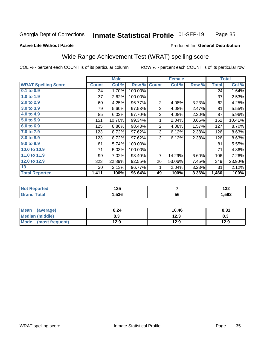#### Inmate Statistical Profile 01-SEP-19 Page 35

#### **Active Life Without Parole**

### Produced for General Distribution

### Wide Range Achievement Test (WRAT) spelling score

COL % - percent each COUNT is of its particular column

ROW % - percent each COUNT is of its particular row

|                            |                 | <b>Male</b> |         |                | <b>Female</b> |       |              | <b>Total</b> |
|----------------------------|-----------------|-------------|---------|----------------|---------------|-------|--------------|--------------|
| <b>WRAT Spelling Score</b> | <b>Count</b>    | Col %       | Row %   | <b>Count</b>   | Col %         | Row % | <b>Total</b> | Col %        |
| 0.1 to 0.9                 | 24              | 1.70%       | 100.00% |                |               |       | 24           | 1.64%        |
| 1.0 to 1.9                 | 37              | 2.62%       | 100.00% |                |               |       | 37           | 2.53%        |
| 2.0 to 2.9                 | 60              | 4.25%       | 96.77%  | $\overline{2}$ | 4.08%         | 3.23% | 62           | 4.25%        |
| 3.0 to 3.9                 | 79              | 5.60%       | 97.53%  | $\overline{2}$ | 4.08%         | 2.47% | 81           | 5.55%        |
| 4.0 to 4.9                 | 85              | 6.02%       | 97.70%  | $\mathbf 2$    | 4.08%         | 2.30% | 87           | 5.96%        |
| 5.0 to 5.9                 | 151             | 10.70%      | 99.34%  | 1              | 2.04%         | 0.66% | 152          | 10.41%       |
| 6.0 to 6.9                 | 125             | 8.86%       | 98.43%  | $\overline{2}$ | 4.08%         | 1.57% | 127          | 8.70%        |
| 7.0 to 7.9                 | 123             | 8.72%       | 97.62%  | 3              | 6.12%         | 2.38% | 126          | 8.63%        |
| 8.0 to 8.9                 | 123             | 8.72%       | 97.62%  | 3              | 6.12%         | 2.38% | 126          | 8.63%        |
| 9.0 to 9.9                 | 81              | 5.74%       | 100.00% |                |               |       | 81           | 5.55%        |
| 10.0 to 10.9               | 71              | 5.03%       | 100.00% |                |               |       | 71           | 4.86%        |
| 11.0 to 11.9               | 99              | 7.02%       | 93.40%  | 7              | 14.29%        | 6.60% | 106          | 7.26%        |
| 12.0 to 12.9               | 323             | 22.89%      | 92.55%  | 26             | 53.06%        | 7.45% | 349          | 23.90%       |
| 13                         | 30 <sup>°</sup> | 2.13%       | 96.77%  | 1              | 2.04%         | 3.23% | 31           | 2.12%        |
| <b>Total Reported</b>      | 1,411           | 100%        | 96.64%  | 49             | 100%          | 3.36% | 1,460        | 100%         |
|                            |                 |             |         |                |               |       |              |              |
| <b>Not Reported</b>        |                 | 125         |         |                | 7             |       |              | 132          |
| <b>Grand Total</b>         |                 | 1,536       |         |                | 56            |       |              | 1,592        |

| Mean<br>(average)       | 8.24 | 10.46 | 8.31 |
|-------------------------|------|-------|------|
| <b>Median (middle)</b>  | o. J | 12.3  | 8.3  |
| Mode<br>(most frequent) | 12.9 | 12.9  | 12.9 |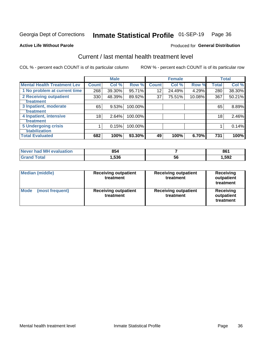## Inmate Statistical Profile 01-SEP-19 Page 36

#### **Active Life Without Parole**

### Produced for General Distribution

## Current / last mental health treatment level

COL % - percent each COUNT is of its particular column

|                                    |              | <b>Male</b> |         |              | <b>Female</b> |        |              | <b>Total</b> |
|------------------------------------|--------------|-------------|---------|--------------|---------------|--------|--------------|--------------|
| <b>Mental Health Treatment Lev</b> | <b>Count</b> | Col %       | Row %   | <b>Count</b> | Col%          | Row %  | <b>Total</b> | Col %        |
| 1 No problem at current time       | 268          | 39.30%      | 95.71%  | 12           | 24.49%        | 4.29%  | 280          | 38.30%       |
| 2 Receiving outpatient             | 330          | 48.39%      | 89.92%  | 37           | 75.51%        | 10.08% | 367          | 50.21%       |
| <b>Treatment</b>                   |              |             |         |              |               |        |              |              |
| 3 Inpatient, moderate              | 65           | 9.53%       | 100.00% |              |               |        | 65           | 8.89%        |
| Treatment                          |              |             |         |              |               |        |              |              |
| 4 Inpatient, intensive             | 18           | 2.64%       | 100.00% |              |               |        | 18           | 2.46%        |
| Treatment                          |              |             |         |              |               |        |              |              |
| <b>5 Undergoing crisis</b>         |              | 0.15%       | 100.00% |              |               |        |              | 0.14%        |
| <b>stabilization</b>               |              |             |         |              |               |        |              |              |
| <b>Total Evaluated</b>             | 682          | 100%        | 93.30%  | 49           | 100%          | 6.70%  | 731          | 100%         |

| <b>evaluation</b><br>I Never had MH | 854  |    | 861  |
|-------------------------------------|------|----|------|
| $f \wedge f \wedge f$               | .536 | ჂႩ | ,592 |

| <b>Median (middle)</b>         | <b>Receiving outpatient</b><br>treatment | <b>Receiving outpatient</b><br>treatment | <b>Receiving</b><br>outpatient<br>treatment |
|--------------------------------|------------------------------------------|------------------------------------------|---------------------------------------------|
| <b>Mode</b><br>(most frequent) | <b>Receiving outpatient</b><br>treatment | <b>Receiving outpatient</b><br>treatment | <b>Receiving</b><br>outpatient<br>treatment |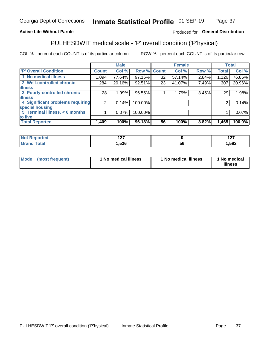#### Inmate Statistical Profile 01-SEP-19 Page 37

### **Active Life Without Parole**

### Produced for General Distribution

## PULHESDWIT medical scale - 'P' overall condition ('P'hysical)

COL % - percent each COUNT is of its particular column

|                                  |                | <b>Male</b> |             |    | <b>Female</b> |       |              | <b>Total</b> |
|----------------------------------|----------------|-------------|-------------|----|---------------|-------|--------------|--------------|
| 'P' Overall Condition            | <b>Count</b>   | Col %       | Row % Count |    | Col %         | Row % | <b>Total</b> | Col %        |
| 1 No medical illness             | 1,094          | 77.64%      | 97.16%      | 32 | 57.14%        | 2.84% | 1,126        | 76.86%       |
| 2 Well-controlled chronic        | 284            | 20.16%      | 92.51%      | 23 | 41.07%        | 7.49% | 307          | 20.96%       |
| <b>illness</b>                   |                |             |             |    |               |       |              |              |
| 3 Poorly-controlled chronic      | 28             | 1.99%       | 96.55%      |    | 1.79%         | 3.45% | 29           | 1.98%        |
| <b>illness</b>                   |                |             |             |    |               |       |              |              |
| 4 Significant problems requiring | 2 <sub>1</sub> | 0.14%       | 100.00%     |    |               |       | 2            | 0.14%        |
| special housing                  |                |             |             |    |               |       |              |              |
| 5 Terminal illness, < 6 months   |                | 0.07%       | 100.00%     |    |               |       |              | 0.07%        |
| to live                          |                |             |             |    |               |       |              |              |
| <b>Total Reported</b>            | 1,409          | 100%        | 96.18%      | 56 | 100%          | 3.82% | 1,465        | 100.0%       |

| тео<br> | 107<br>. |   | { 27<br>. <u>. .</u> |
|---------|----------|---|----------------------|
| ______  | 536, ا   | უ | ,592                 |

|  |  | Mode (most frequent) | 1 No medical illness | 1 No medical illness | 1 No medical<br>illness |
|--|--|----------------------|----------------------|----------------------|-------------------------|
|--|--|----------------------|----------------------|----------------------|-------------------------|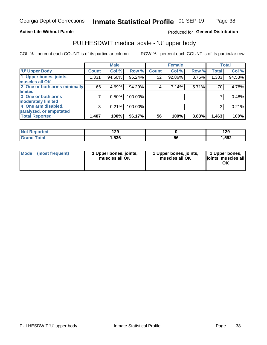### **Active Life Without Parole**

### Produced for General Distribution

## PULHESDWIT medical scale - 'U' upper body

COL % - percent each COUNT is of its particular column

|                              |              | <b>Male</b> |         |              | <b>Female</b> |       |              | <b>Total</b> |
|------------------------------|--------------|-------------|---------|--------------|---------------|-------|--------------|--------------|
| <b>U' Upper Body</b>         | <b>Count</b> | Col %       | Row %   | <b>Count</b> | Col %         | Row % | <b>Total</b> | Col %        |
| 1 Upper bones, joints,       | 1,331        | 94.60%      | 96.24%  | 52           | 92.86%        | 3.76% | 1,383        | 94.53%       |
| muscles all OK               |              |             |         |              |               |       |              |              |
| 2 One or both arms minimally | 66           | 4.69%       | 94.29%  | 4            | 7.14%         | 5.71% | 70           | 4.78%        |
| limited                      |              |             |         |              |               |       |              |              |
| 3 One or both arms           |              | 0.50%       | 100.00% |              |               |       |              | 0.48%        |
| moderately limited           |              |             |         |              |               |       |              |              |
| 4 One arm disabled,          | 3            | 0.21%       | 100.00% |              |               |       | 3            | 0.21%        |
| paralyzed, or amputated      |              |             |         |              |               |       |              |              |
| <b>Total Reported</b>        | 1,407        | 100%        | 96.17%  | 56           | 100%          | 3.83% | 1,463        | 100%         |

| <b>Not Reported</b> | 129  |     | 00<br>143 |
|---------------------|------|-----|-----------|
| <b>Total</b>        | ,536 | ่วเ | ,592      |

| <b>Mode</b> | (most frequent) | 1 Upper bones, joints,<br>muscles all OK | 1 Upper bones, joints,<br>muscles all OK | 1 Upper bones,<br>ljoints, muscles all<br>ОK |
|-------------|-----------------|------------------------------------------|------------------------------------------|----------------------------------------------|
|-------------|-----------------|------------------------------------------|------------------------------------------|----------------------------------------------|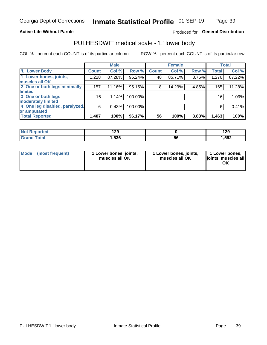### **Active Life Without Parole**

### Produced for General Distribution

## PULHESDWIT medical scale - 'L' lower body

COL % - percent each COUNT is of its particular column

|                                |                 | <b>Male</b> |         |              | <b>Female</b> |       |              | <b>Total</b> |
|--------------------------------|-----------------|-------------|---------|--------------|---------------|-------|--------------|--------------|
| 'L' Lower Body                 | <b>Count</b>    | Col %       | Row %   | <b>Count</b> | Col %         | Row % | <b>Total</b> | Col %        |
| 1 Lower bones, joints,         | 1,228           | 87.28%      | 96.24%  | 48           | 85.71%        | 3.76% | 1,276        | 87.22%       |
| muscles all OK                 |                 |             |         |              |               |       |              |              |
| 2 One or both legs minimally   | 157             | 11.16%      | 95.15%  | 8            | 14.29%        | 4.85% | 165          | 11.28%       |
| limited                        |                 |             |         |              |               |       |              |              |
| 3 One or both legs             | 16 <sub>1</sub> | 1.14%       | 100.00% |              |               |       | 16           | 1.09%        |
| moderately limited             |                 |             |         |              |               |       |              |              |
| 4 One leg disabled, paralyzed, | 6               | 0.43%       | 100.00% |              |               |       | 6            | 0.41%        |
| or amputated                   |                 |             |         |              |               |       |              |              |
| <b>Total Reported</b>          | 1,407           | 100%        | 96.17%  | 56           | 100%          | 3.83% | 1,463        | 100%         |

| <b>Not Reported</b> | 129  |     | 00<br>143 |
|---------------------|------|-----|-----------|
| <b>Total</b>        | ,536 | ่วเ | ,592      |

| Mode | (most frequent) | 1 Lower bones, joints,<br>muscles all OK | 1 Lower bones, joints,<br>muscles all OK | 1 Lower bones,<br>ljoints, muscles all<br>ΟK |
|------|-----------------|------------------------------------------|------------------------------------------|----------------------------------------------|
|------|-----------------|------------------------------------------|------------------------------------------|----------------------------------------------|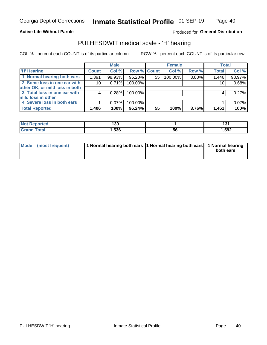### **Active Life Without Parole**

Produced for General Distribution

### PULHESDWIT medical scale - 'H' hearing

COL % - percent each COUNT is of its particular column

|                                |              | <b>Male</b> |                    |    | <b>Female</b> |       | <b>Total</b> |        |
|--------------------------------|--------------|-------------|--------------------|----|---------------|-------|--------------|--------|
| <b>H' Hearing</b>              | <b>Count</b> | Col %       | <b>Row % Count</b> |    | Col %         | Row % | <b>Total</b> | Col %  |
| 1 Normal hearing both ears     | 1,391        | 98.93%      | 96.20%             | 55 | 100.00%       | 3.80% | 1,446        | 98.97% |
| 2 Some loss in one ear with    | 10           | 0.71%       | 100.00%            |    |               |       | 10           | 0.68%  |
| other OK, or mild loss in both |              |             |                    |    |               |       |              |        |
| 3 Total loss in one ear with   | 4            | 0.28%       | 100.00%            |    |               |       | 4            | 0.27%  |
| mild loss in other             |              |             |                    |    |               |       |              |        |
| 4 Severe loss in both ears     |              | 0.07%       | 100.00%            |    |               |       |              | 0.07%  |
| <b>Total Reported</b>          | 1,406        | 100%        | 96.24%             | 55 | 100%          | 3.76% | 1,461        | 100%   |

| <b>Not</b><br><b>ported</b> | 130  |    | ໍາ^<br>וטו |
|-----------------------------|------|----|------------|
| <b>otal</b>                 | 536, | 56 | ,592       |

| Mode (most frequent) | 1 Normal hearing both ears 1 Normal hearing both ears 1 Normal hearing | both ears |
|----------------------|------------------------------------------------------------------------|-----------|
|                      |                                                                        |           |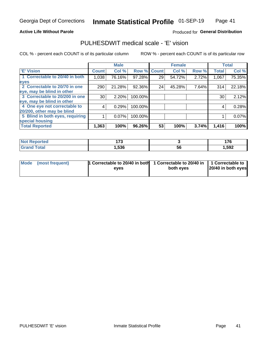### **Active Life Without Parole**

### Produced for General Distribution

### PULHESDWIT medical scale - 'E' vision

COL % - percent each COUNT is of its particular column

|                                 |              | <b>Male</b> |         |              | <b>Female</b> |       |              | <b>Total</b> |
|---------------------------------|--------------|-------------|---------|--------------|---------------|-------|--------------|--------------|
| <b>E' Vision</b>                | <b>Count</b> | Col %       | Row %   | <b>Count</b> | Col %         | Row % | <b>Total</b> | Col %        |
| 1 Correctable to 20/40 in both  | 1,038        | 76.16%      | 97.28%  | 29           | 54.72%        | 2.72% | 1,067        | 75.35%       |
| eyes                            |              |             |         |              |               |       |              |              |
| 2 Correctable to 20/70 in one   | 290          | 21.28%      | 92.36%  | 24           | 45.28%        | 7.64% | 314          | 22.18%       |
| eye, may be blind in other      |              |             |         |              |               |       |              |              |
| 3 Correctable to 20/200 in one  | 30           | 2.20%       | 100.00% |              |               |       | 30           | 2.12%        |
| eye, may be blind in other      |              |             |         |              |               |       |              |              |
| 4 One eye not correctable to    | 4            | 0.29%       | 100.00% |              |               |       | 4            | 0.28%        |
| 20/200, other may be blind      |              |             |         |              |               |       |              |              |
| 5 Blind in both eyes, requiring |              | 0.07%       | 100.00% |              |               |       |              | 0.07%        |
| special housing                 |              |             |         |              |               |       |              |              |
| <b>Total Reported</b>           | 1,363        | 100%        | 96.26%  | 53           | 100%          | 3.74% | 1,416        | 100%         |

| ™orted in<br><b>NOT</b><br>Repol | ィラヘ<br>. |    | $\rightarrow$<br><u>.</u> |
|----------------------------------|----------|----|---------------------------|
| $T0$ tol                         | ,536     | 56 | ,592                      |

| Mode (most frequent) | 1 Correctable to 20/40 in both<br>eves | 1 Correctable to 20/40 in   1 Correctable to  <br>both eyes | 20/40 in both eyes |
|----------------------|----------------------------------------|-------------------------------------------------------------|--------------------|
|                      |                                        |                                                             |                    |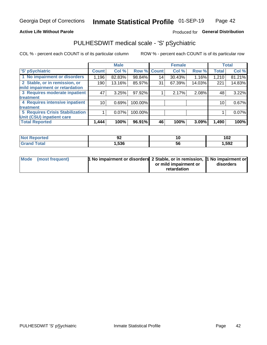### **Active Life Without Parole**

### Produced for General Distribution

## PULHESDWIT medical scale - 'S' pSychiatric

COL % - percent each COUNT is of its particular column

|                                 |              | <b>Male</b> |         |             | <b>Female</b> |        |              | <b>Total</b> |
|---------------------------------|--------------|-------------|---------|-------------|---------------|--------|--------------|--------------|
| 'S' pSychiatric                 | <b>Count</b> | Col %       |         | Row % Count | Col %         | Row %  | <b>Total</b> | Col %        |
| 1 No impairment or disorders    | 1,196        | 82.83%      | 98.84%  | 14          | 30.43%        | 1.16%  | 1,210        | 81.21%       |
| 2 Stable, or in remission, or   | 190          | 13.16%      | 85.97%  | 31          | 67.39%        | 14.03% | 221          | 14.83%       |
| mild impairment or retardation  |              |             |         |             |               |        |              |              |
| 3 Requires moderate inpatient   | 47           | 3.25%       | 97.92%  |             | 2.17%         | 2.08%  | 48           | 3.22%        |
| <b>treatment</b>                |              |             |         |             |               |        |              |              |
| 4 Requires intensive inpatient  | 10           | 0.69%       | 100.00% |             |               |        | 10           | 0.67%        |
| <b>treatment</b>                |              |             |         |             |               |        |              |              |
| 5 Requires Crisis Stabilization |              | 0.07%       | 100.00% |             |               |        |              | 0.07%        |
| Unit (CSU) inpatient care       |              |             |         |             |               |        |              |              |
| <b>Total Reported</b>           | 1,444        | 100%        | 96.91%  | 46          | 100%          | 3.09%  | 1,490        | 100%         |

| <b>Anorted</b><br><b>NOT</b><br>Renoi | JŁ.  | 10        | 102   |
|---------------------------------------|------|-----------|-------|
| Total                                 | ,536 | <b>JQ</b> | 1,592 |

| Mode (most frequent) | <b>1 No impairment or disorders</b> 2 Stable, or in remission, 11 No impairment or |                       |           |
|----------------------|------------------------------------------------------------------------------------|-----------------------|-----------|
|                      |                                                                                    | or mild impairment or | disorders |
|                      |                                                                                    | retardation           |           |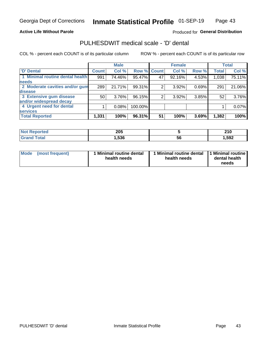### **Active Life Without Parole**

### Produced for General Distribution

## PULHESDWIT medical scale - 'D' dental

COL % - percent each COUNT is of its particular column

|                                 |                    | <b>Male</b> |         |             | <b>Female</b> |       |              | <b>Total</b> |
|---------------------------------|--------------------|-------------|---------|-------------|---------------|-------|--------------|--------------|
| <b>D'</b> Dental                | Count <sup>1</sup> | Col %       |         | Row % Count | Col %         | Row % | <b>Total</b> | Col %        |
| 1 Minimal routine dental health | 991                | 74.46%      | 95.47%  | 47          | 92.16%        | 4.53% | 1,038        | 75.11%       |
| <b>needs</b>                    |                    |             |         |             |               |       |              |              |
| 2 Moderate cavities and/or gum  | 289                | 21.71%      | 99.31%  |             | 3.92%         | 0.69% | 291          | 21.06%       |
| disease                         |                    |             |         |             |               |       |              |              |
| 3 Extensive gum disease         | 50                 | 3.76%       | 96.15%  | 2           | 3.92%         | 3.85% | 52           | 3.76%        |
| and/or widespread decay         |                    |             |         |             |               |       |              |              |
| 4 Urgent need for dental        |                    | 0.08%       | 100.00% |             |               |       |              | 0.07%        |
| <b>services</b>                 |                    |             |         |             |               |       |              |              |
| <b>Total Reported</b>           | 1,331              | 100%        | 96.31%  | 51          | 100%          | 3.69% | 1,382        | 100%         |

| orted<br>NOT RADO<br>. | 205  |    | <b>040</b><br><u>ziv</u> |
|------------------------|------|----|--------------------------|
| <b>Total</b>           | ,536 | 56 | ,592                     |

| <b>Mode</b> | (most frequent) | <b>Minimal routine dental</b><br>health needs | 1 Minimal routine dental<br>health needs | <b>11 Minimal routine I</b><br>dental health<br>needs |
|-------------|-----------------|-----------------------------------------------|------------------------------------------|-------------------------------------------------------|
|-------------|-----------------|-----------------------------------------------|------------------------------------------|-------------------------------------------------------|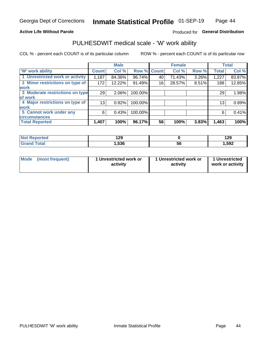### **Active Life Without Parole**

### Produced for General Distribution

### PULHESDWIT medical scale - 'W' work ability

COL % - percent each COUNT is of its particular column

|                                 |                    | <b>Male</b> |         |             | <b>Female</b> |       |              | <b>Total</b> |
|---------------------------------|--------------------|-------------|---------|-------------|---------------|-------|--------------|--------------|
| <b>W' work ability</b>          | Count <sup>'</sup> | Col %       |         | Row % Count | Col %         | Row % | <b>Total</b> | Col %        |
| 1 Unrestricted work or activity | 1,187              | 84.36%      | 96.74%  | 40          | 71.43%        | 3.26% | 1,227        | 83.87%       |
| 2 Minor restrictions on type of | 172                | 12.22%      | 91.49%  | 16          | 28.57%        | 8.51% | 188          | 12.85%       |
| <b>work</b>                     |                    |             |         |             |               |       |              |              |
| 3 Moderate restrictions on type | 29                 | $2.06\%$    | 100.00% |             |               |       | 29           | 1.98%        |
| lof work                        |                    |             |         |             |               |       |              |              |
| 4 Major restrictions on type of | 13                 | 0.92%       | 100.00% |             |               |       | 13           | 0.89%        |
| <b>work</b>                     |                    |             |         |             |               |       |              |              |
| 5 Cannot work under any         | 6                  | 0.43%       | 100.00% |             |               |       | 6            | 0.41%        |
| <b>circumstances</b>            |                    |             |         |             |               |       |              |              |
| <b>Total Reported</b>           | 1,407              | 100%        | 96.17%  | 56          | 100%          | 3.83% | 1,463        | 100%         |

| 'Not Reported | 1 20<br>1 Z J |    | 190<br>129 |
|---------------|---------------|----|------------|
| <b>Total</b>  | 536, ا        | ან | ,592       |

| Mode            | 1 Unrestricted work or | 1 Unrestricted work or | 1 Unrestricted   |
|-----------------|------------------------|------------------------|------------------|
| (most frequent) | activity               | activity               | work or activity |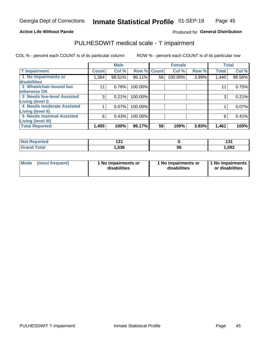### **Active Life Without Parole**

### Produced for General Distribution

## PULHESDWIT medical scale - 'I' impairment

COL % - percent each COUNT is of its particular column ROW % - percent each COUNT is of its particular row

|                                   |              | <b>Male</b> |             |    | <b>Female</b> |       |              | <b>Total</b> |
|-----------------------------------|--------------|-------------|-------------|----|---------------|-------|--------------|--------------|
| <b>T' Impairment</b>              | <b>Count</b> | Col %       | Row % Count |    | Col %         | Row % | <b>Total</b> | Col %        |
| 1 No impairments or               | 1,384        | 98.51%      | 96.11%      | 56 | 100.00%       | 3.89% | 1,440        | 98.56%       |
| <b>disabilities</b>               |              |             |             |    |               |       |              |              |
| 2 Wheelchair-bound but            | 11           | 0.78%       | 100.00%     |    |               |       | 11           | 0.75%        |
| otherwise OK                      |              |             |             |    |               |       |              |              |
| <b>3 Needs low-level Assisted</b> | 3            | 0.21%       | 100.00%     |    |               |       | 3            | 0.21%        |
| Living (level I)                  |              |             |             |    |               |       |              |              |
| 4 Needs moderate Assisted         |              | 0.07%       | 100.00%     |    |               |       |              | 0.07%        |
| Living (level II)                 |              |             |             |    |               |       |              |              |
| <b>5 Needs maximal Assisted</b>   | 6            | 0.43%       | 100.00%     |    |               |       | 6            | 0.41%        |
| <b>Living (level III)</b>         |              |             |             |    |               |       |              |              |
| <b>Total Reported</b>             | 1,405        | 100%        | 96.17%      | 56 | 100%          | 3.83% | 1,461        | 100%         |

| Reported     | $\sim$<br>1 J I |           | $\mathbf{A}$<br>1 J I |
|--------------|-----------------|-----------|-----------------------|
| <b>Total</b> | 536,            | . .<br>ჂႩ | 1,592                 |

| Mode | (most frequent) | 1 No impairments or<br>disabilities | 1 No impairments or<br>disabilities | 1 No impairments<br>or disabilities |
|------|-----------------|-------------------------------------|-------------------------------------|-------------------------------------|
|------|-----------------|-------------------------------------|-------------------------------------|-------------------------------------|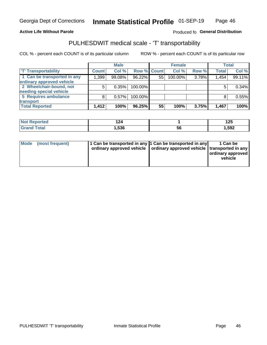### **Active Life Without Parole**

### Produced fo General Distribution

## PULHESDWIT medical scale - 'T' transportability

COL % - percent each COUNT is of its particular column

|                             |              | <b>Male</b> |             |    | <b>Female</b> |       |              | <b>Total</b> |
|-----------------------------|--------------|-------------|-------------|----|---------------|-------|--------------|--------------|
| <b>T' Transportability</b>  | <b>Count</b> | Col %       | Row % Count |    | Col %         | Row % | <b>Total</b> | Col %        |
| 1 Can be transported in any | 1,399        | 99.08%      | 96.22%      | 55 | 100.00%       | 3.78% | 1,454        | 99.11%       |
| ordinary approved vehicle   |              |             |             |    |               |       |              |              |
| 2 Wheelchair-bound, not     |              | 0.35%       | 100.00%     |    |               |       |              | 0.34%        |
| needing special vehicle     |              |             |             |    |               |       |              |              |
| 5 Requires ambulance        |              | 0.57%       | 100.00%     |    |               |       |              | 0.55%        |
| transport                   |              |             |             |    |               |       |              |              |
| <b>Total Reported</b>       | 1,412        | 100%        | 96.25%      | 55 | 100%          | 3.75% | 1,467        | 100%         |

| <b>orted</b> |      |    | ィクに<br>∪⊾ו |
|--------------|------|----|------------|
| <b>otal</b>  | .536 | ჂႩ | 1,592      |

| Mode (most frequent) | 1 Can be transported in any 1 Can be transported in any | ordinary approved vehicle   ordinary approved vehicle   transported in any | 1 Can be<br>ordinary approved<br>vehicle |
|----------------------|---------------------------------------------------------|----------------------------------------------------------------------------|------------------------------------------|
|                      |                                                         |                                                                            |                                          |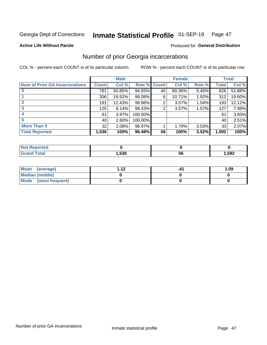#### Inmate Statistical Profile 01-SEP-19 Page 47

#### **Active Life Without Parole**

### **Produced for General Distribution**

### Number of prior Georgia incarcerations

COL % - percent each COUNT is of its particular column

|                                       |       | <b>Male</b> |             |    | <b>Female</b> |       |       | <b>Total</b> |
|---------------------------------------|-------|-------------|-------------|----|---------------|-------|-------|--------------|
| <b>Num of Prior GA Incarcerations</b> | Count | Col %       | Row % Count |    | Col %         | Row % | Total | Col %        |
|                                       | 781   | 50.85%      | 94.55%      | 45 | 80.36%        | 5.45% | 826   | 51.88%       |
|                                       | 306   | 19.92%      | 98.08%      | 6  | 10.71%        | 1.92% | 312   | 19.60%       |
|                                       | 191   | 12.43%      | 98.96%      | 2  | 3.57%         | 1.04% | 193   | 12.12%       |
| 3                                     | 125   | 8.14%       | 98.43%      | 2  | 3.57%         | 1.57% | 127   | 7.98%        |
| 4                                     | 61    | 3.97%       | 100.00%     |    |               |       | 61    | 3.83%        |
| 5                                     | 40 l  | 2.60%       | 100.00%     |    |               |       | 40    | 2.51%        |
| <b>More Than 5</b>                    | 32    | 2.08%       | 96.97%      |    | 1.79%         | 3.03% | 33    | 2.07%        |
| <b>Total Reported</b>                 | 1,536 | 100%        | 96.48%      | 56 | 100%          | 3.52% | 1,592 | 100%         |

| <b>orted</b><br>NO               |      |    |      |
|----------------------------------|------|----|------|
| <b>Total</b><br>$\mathbf{v}$ and | .536 | эt | ,592 |

| Mean (average)       | 1 1 J | 1.09 |
|----------------------|-------|------|
| Median (middle)      |       |      |
| Mode (most frequent) |       |      |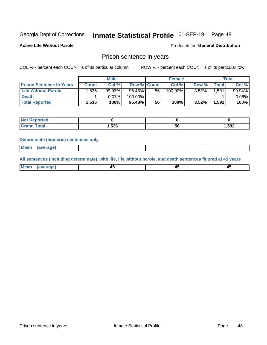#### Inmate Statistical Profile 01-SEP-19 Page 48

**Active Life Without Parole** 

Produced for General Distribution

### Prison sentence in years

COL % - percent each COUNT is of its particular column

ROW % - percent each COUNT is of its particular row

|                                 | <b>Male</b>  |        |                    | <b>Female</b> |         |          | Total       |          |
|---------------------------------|--------------|--------|--------------------|---------------|---------|----------|-------------|----------|
| <b>Prison Sentence In Years</b> | <b>Count</b> | Col %  | <b>Row % Count</b> |               | Col %   | Row %    | $\tau$ otal | Col %    |
| <b>Life Without Parole</b>      | .535         | 99.93% | 96.48%             | 56            | 100.00% | 3.52%    | .591        | 99.94%   |
| <b>Death</b>                    |              | 0.07%  | 100.00%            |               |         |          |             | $0.06\%$ |
| <b>Total Reported</b>           | 1,536        | 100%   | 96.48%             | 56            | 100%    | $3.52\%$ | 1,592       | 100%     |

| τeα |       |    |       |
|-----|-------|----|-------|
|     | 1,536 | ວບ | 1,592 |

#### **Determinate (numeric) sentences only**

| ' Mea<br><b>Service</b> A<br>ЯМА. |  |  |  |
|-----------------------------------|--|--|--|
|                                   |  |  |  |

All sentences (including determinate), with life, life without parole, and death sentences figured at 45 years

| Me:<br>апе<br>᠇<br> | $\sim$<br>$\sim$ |  |
|---------------------|------------------|--|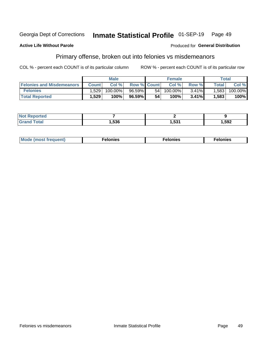#### Inmate Statistical Profile 01-SEP-19 Georgia Dept of Corrections Page 49

#### **Active Life Without Parole**

### **Produced for General Distribution**

### Primary offense, broken out into felonies vs misdemeanors

COL % - percent each COUNT is of its particular column

|                                  | <b>Male</b>  |            |                    | <b>Female</b> |            |          | Total   |         |
|----------------------------------|--------------|------------|--------------------|---------------|------------|----------|---------|---------|
| <b>Felonies and Misdemeanors</b> | <b>Count</b> | Col%       | <b>Row % Count</b> |               | Col%       | Row %    | Total i | Col %   |
| <b>Felonies</b>                  | 1,529        | $100.00\%$ | 96.59%             | 54            | $100.00\%$ | $3.41\%$ | 1,583   | 100.00% |
| <b>Total Reported</b>            | .529         | 100%       | 96.59%             | 54            | 100%       | 3.41%    | 1,583   | 100%    |

| <b>Not Reported</b> |      |              |       |
|---------------------|------|--------------|-------|
| d Total<br>Grand 1  | ,536 | E94<br>ו ככ. | 592.ا |

| <b>Mode</b><br>frequent)<br>nies<br>≧ (most tr.<br>. | onies<br>. | lonies<br>ею<br>____ |
|------------------------------------------------------|------------|----------------------|
|------------------------------------------------------|------------|----------------------|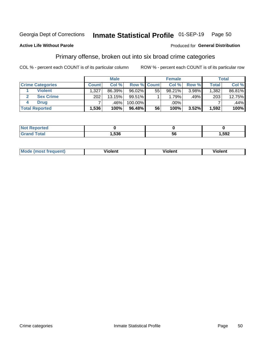#### Inmate Statistical Profile 01-SEP-19 Page 50

### **Active Life Without Parole**

### Produced for General Distribution

### Primary offense, broken out into six broad crime categories

COL % - percent each COUNT is of its particular column

|                         | <b>Male</b>  |        |             | <b>Female</b> |        |       | <b>Total</b> |        |
|-------------------------|--------------|--------|-------------|---------------|--------|-------|--------------|--------|
| <b>Crime Categories</b> | <b>Count</b> | Col%   | Row % Count |               | Col %  | Row % | <b>Total</b> | Col %  |
| <b>Violent</b>          | 1,327        | 86.39% | $96.02\%$   | 55            | 98.21% | 3.98% | 1,382        | 86.81% |
| <b>Sex Crime</b>        | 202          | 13.15% | $99.51\%$   |               | 1.79%  | .49%  | 203          | 12.75% |
| <b>Drug</b>             |              | .46%   | 100.00%     |               | .00%   |       |              | .44%   |
| <b>Total Reported</b>   | 1,536        | 100%   | 96.48%      | 56            | 100%   | 3.52% | 1,592        | 100%   |

| .           |      |          |      |
|-------------|------|----------|------|
| -<br>______ | .536 | - -<br>೧ | .592 |

| Mo<br>quenti | .<br>iolent<br>ΊΙ. | --<br>olent | .<br>'ent |
|--------------|--------------------|-------------|-----------|
|              |                    |             |           |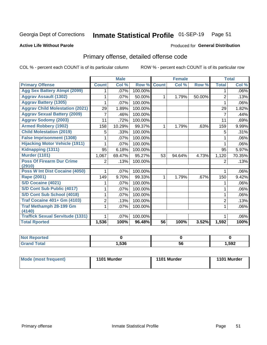## Inmate Statistical Profile 01-SEP-19 Page 51

### **Active Life Without Parole**

### Produced for General Distribution

## Primary offense, detailed offense code

COL % - percent each COUNT is of its particular column

|                                            |                | <b>Male</b>                |         |              | <b>Female</b>             |        |                | <b>Total</b> |
|--------------------------------------------|----------------|----------------------------|---------|--------------|---------------------------|--------|----------------|--------------|
| <b>Primary Offense</b>                     | <b>Count</b>   | $\overline{\text{Col }^9}$ | Row %   | <b>Count</b> | $\overline{\text{Col}}$ % | Row %  | <b>Total</b>   | Col %        |
| <b>Agg Sex Battery Atmpt (2099)</b>        |                | .07%                       | 100.00% |              |                           |        | 1              | .06%         |
| <b>Aggrav Assault (1302)</b>               |                | .07%                       | 50.00%  | 1            | 1.79%                     | 50.00% | $\overline{2}$ | .13%         |
| <b>Aggrav Battery (1305)</b>               |                | .07%                       | 100.00% |              |                           |        |                | .06%         |
| <b>Aggrav Child Molestation (2021)</b>     | 29             | 1.89%                      | 100.00% |              |                           |        | 29             | 1.82%        |
| <b>Aggrav Sexual Battery (2009)</b>        | 7              | .46%                       | 100.00% |              |                           |        | 7              | .44%         |
| <b>Aggrav Sodomy (2003)</b>                | 11             | .72%                       | 100.00% |              |                           |        | 11             | .69%         |
| <b>Armed Robbery (1902)</b>                | 158            | 10.29%                     | 99.37%  | 1            | 1.79%                     | .63%   | 159            | 9.99%        |
| <b>Child Molestation (2019)</b>            | 5              | .33%                       | 100.00% |              |                           |        | 5              | .31%         |
| <b>False Imprisonment (1308)</b>           |                | .07%                       | 100.00% |              |                           |        |                | .06%         |
| <b>Hijacking Motor Vehicle (1911)</b>      |                | .07%                       | 100.00% |              |                           |        |                | .06%         |
| Kidnapping (1311)                          | 95             | 6.18%                      | 100.00% |              |                           |        | 95             | 5.97%        |
| <b>Murder (1101)</b>                       | 1,067          | 69.47%                     | 95.27%  | 53           | 94.64%                    | 4.73%  | 1,120          | 70.35%       |
| <b>Poss Of Firearm Dur Crime</b><br>(2910) | 2              | .13%                       | 100.00% |              |                           |        | 2              | .13%         |
| Poss W Int Dist Cocaine (4050)             |                | .07%                       | 100.00% |              |                           |        |                | .06%         |
| Rape (2001)                                | 149            | 9.70%                      | 99.33%  | 1            | 1.79%                     | .67%   | 150            | 9.42%        |
| S/D Cocaine (4021)                         |                | .07%                       | 100.00% |              |                           |        |                | .06%         |
| S/D Cont Sub Public (4017)                 |                | .07%                       | 100.00% |              |                           |        | 1              | .06%         |
| S/D Cont Sub School (4018)                 |                | .07%                       | 100.00% |              |                           |        | 1              | .06%         |
| <b>Traf Cocaine 401+ Gm (4103)</b>         | $\overline{2}$ | .13%                       | 100.00% |              |                           |        | $\overline{2}$ | .13%         |
| <b>Traf Methamph 28-199 Gm</b>             | 1              | .07%                       | 100.00% |              |                           |        | 1              | .06%         |
| (4140)                                     |                |                            |         |              |                           |        |                |              |
| <b>Traffick Sexual Servitude (1331)</b>    |                | .07%                       | 100.00% |              |                           |        |                | .06%         |
| <b>Total Rported</b>                       | 1,536          | 100%                       | 96.48%  | 56           | 100%                      | 3.52%  | 1,592          | 100%         |

| <b>Not</b><br><b>orted</b><br>мени |      |    |       |
|------------------------------------|------|----|-------|
| <b>Total</b>                       | ,536 | 56 | 1,592 |

| Mode (most frequent) | 1101 Murder | 1101 Murder | 1101 Murder |
|----------------------|-------------|-------------|-------------|
|----------------------|-------------|-------------|-------------|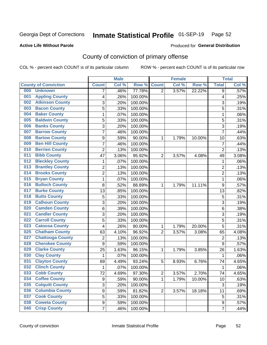## Inmate Statistical Profile 01-SEP-19 Page 52

### **Active Life Without Parole**

### Produced for General Distribution

## County of conviction of primary offense

COL % - percent each COUNT is of its particular column

|                                |                | <b>Male</b> |         |                | <b>Female</b> |        |                | <b>Total</b> |
|--------------------------------|----------------|-------------|---------|----------------|---------------|--------|----------------|--------------|
| <b>County of Conviction</b>    | <b>Count</b>   | Col %       | Row %   | <b>Count</b>   | Col %         | Row %  | <b>Total</b>   | Col %        |
| 000<br><b>Unknown</b>          | 7              | .46%        | 77.78%  | $\overline{2}$ | 3.57%         | 22.22% | 9              | .57%         |
| <b>Appling County</b><br>001   | 4              | .26%        | 100.00% |                |               |        | 4              | .25%         |
| <b>Atkinson County</b><br>002  | 3              | .20%        | 100.00% |                |               |        | 3              | .19%         |
| <b>Bacon County</b><br>003     | 5              | .33%        | 100.00% |                |               |        | 5              | .31%         |
| <b>Baker County</b><br>004     | 1              | .07%        | 100.00% |                |               |        | 1              | .06%         |
| <b>Baldwin County</b><br>005   | 5              | .33%        | 100.00% |                |               |        | 5              | .31%         |
| <b>Banks County</b><br>006     | 3              | .20%        | 100.00% |                |               |        | 3              | .19%         |
| <b>Barrow County</b><br>007    | $\overline{7}$ | .46%        | 100.00% |                |               |        | $\overline{7}$ | .44%         |
| <b>Bartow County</b><br>008    | 9              | .59%        | 90.00%  | 1              | 1.79%         | 10.00% | 10             | .63%         |
| <b>Ben Hill County</b><br>009  | $\overline{7}$ | .46%        | 100.00% |                |               |        | $\overline{7}$ | .44%         |
| <b>Berrien County</b><br>010   | $\overline{c}$ | .13%        | 100.00% |                |               |        | $\overline{2}$ | .13%         |
| <b>Bibb County</b><br>011      | 47             | 3.06%       | 95.92%  | $\overline{2}$ | 3.57%         | 4.08%  | 49             | 3.08%        |
| <b>Bleckley County</b><br>012  | 1              | .07%        | 100.00% |                |               |        | 1              | .06%         |
| <b>Brantley County</b><br>013  | $\overline{c}$ | .13%        | 100.00% |                |               |        | $\overline{2}$ | .13%         |
| <b>Brooks County</b><br>014    | $\overline{c}$ | .13%        | 100.00% |                |               |        | $\overline{2}$ | .13%         |
| <b>Bryan County</b><br>015     | 1              | .07%        | 100.00% |                |               |        | 1              | .06%         |
| <b>Bulloch County</b><br>016   | 8              | .52%        | 88.89%  | 1              | 1.79%         | 11.11% | 9              | .57%         |
| <b>Burke County</b><br>017     | 13             | .85%        | 100.00% |                |               |        | 13             | .82%         |
| <b>Butts County</b><br>018     | 5              | .33%        | 100.00% |                |               |        | 5              | .31%         |
| <b>Calhoun County</b><br>019   | 3              | .20%        | 100.00% |                |               |        | 3              | .19%         |
| <b>Camden County</b><br>020    | 6              | .39%        | 100.00% |                |               |        | 6              | .38%         |
| <b>Candler County</b><br>021   | 3              | .20%        | 100.00% |                |               |        | 3              | .19%         |
| <b>Carroll County</b><br>022   | 5              | .33%        | 100.00% |                |               |        | 5              | .31%         |
| <b>Catoosa County</b><br>023   | 4              | .26%        | 80.00%  | 1              | 1.79%         | 20.00% | 5              | .31%         |
| <b>Chatham County</b><br>025   | 63             | 4.10%       | 96.92%  | $\overline{2}$ | 3.57%         | 3.08%  | 65             | 4.08%        |
| <b>Chattooga County</b><br>027 | $\overline{c}$ | .13%        | 100.00% |                |               |        | $\overline{2}$ | .13%         |
| <b>Cherokee County</b><br>028  | $\overline{9}$ | .59%        | 100.00% |                |               |        | 9              | .57%         |
| <b>Clarke County</b><br>029    | 25             | 1.63%       | 96.15%  | 1              | 1.79%         | 3.85%  | 26             | 1.63%        |
| <b>Clay County</b><br>030      | 1              | .07%        | 100.00% |                |               |        | 1              | .06%         |
| <b>Clayton County</b><br>031   | 69             | 4.49%       | 93.24%  | 5              | 8.93%         | 6.76%  | 74             | 4.65%        |
| <b>Clinch County</b><br>032    | 1              | .07%        | 100.00% |                |               |        | 1              | .06%         |
| 033<br><b>Cobb County</b>      | 72             | 4.69%       | 97.30%  | $\overline{c}$ | 3.57%         | 2.70%  | 74             | 4.65%        |
| <b>Coffee County</b><br>034    | 9              | .59%        | 90.00%  | 1              | 1.79%         | 10.00% | 10             | .63%         |
| <b>Colquitt County</b><br>035  | 3              | .20%        | 100.00% |                |               |        | 3              | .19%         |
| <b>Columbia County</b><br>036  | 9              | .59%        | 81.82%  | $\overline{2}$ | 3.57%         | 18.18% | 11             | .69%         |
| <b>Cook County</b><br>037      | 5              | .33%        | 100.00% |                |               |        | 5              | .31%         |
| <b>Coweta County</b><br>038    | 9              | .59%        | 100.00% |                |               |        | 9              | .57%         |
| <b>Crisp County</b><br>040     | $\overline{7}$ | .46%        | 100.00% |                |               |        | $\overline{7}$ | .44%         |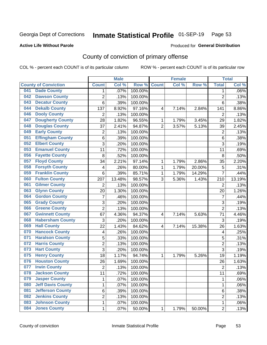## Inmate Statistical Profile 01-SEP-19 Page 53

### **Active Life Without Parole**

### Produced for General Distribution

## County of conviction of primary offense

COL % - percent each COUNT is of its particular column

|                                 |                         | <b>Male</b> |         |                | <b>Female</b> |        |                | <b>Total</b> |
|---------------------------------|-------------------------|-------------|---------|----------------|---------------|--------|----------------|--------------|
| <b>County of Conviction</b>     | <b>Count</b>            | Col %       | Row %   | <b>Count</b>   | Col %         | Row %  | <b>Total</b>   | Col %        |
| <b>Dade County</b><br>041       | 1                       | .07%        | 100.00% |                |               |        | 1              | .06%         |
| <b>Dawson County</b><br>042     | $\overline{2}$          | .13%        | 100.00% |                |               |        | $\overline{2}$ | .13%         |
| <b>Decatur County</b><br>043    | 6                       | .39%        | 100.00% |                |               |        | $\overline{6}$ | .38%         |
| <b>Dekalb County</b><br>044     | 137                     | 8.92%       | 97.16%  | 4              | 7.14%         | 2.84%  | 141            | 8.86%        |
| <b>Dooly County</b><br>046      | $\overline{2}$          | .13%        | 100.00% |                |               |        | $\overline{2}$ | .13%         |
| <b>Dougherty County</b><br>047  | 28                      | 1.82%       | 96.55%  | 1              | 1.79%         | 3.45%  | 29             | 1.82%        |
| <b>Douglas County</b><br>048    | 37                      | 2.41%       | 94.87%  | $\overline{2}$ | 3.57%         | 5.13%  | 39             | 2.45%        |
| <b>Early County</b><br>049      | $\overline{2}$          | .13%        | 100.00% |                |               |        | $\overline{2}$ | .13%         |
| <b>Effingham County</b><br>051  | 6                       | .39%        | 100.00% |                |               |        | 6              | .38%         |
| <b>Elbert County</b><br>052     | 3                       | .20%        | 100.00% |                |               |        | 3              | .19%         |
| <b>Emanuel County</b><br>053    | 11                      | .72%        | 100.00% |                |               |        | 11             | .69%         |
| <b>Fayette County</b><br>056    | 8                       | .52%        | 100.00% |                |               |        | 8              | .50%         |
| <b>Floyd County</b><br>057      | 34                      | 2.21%       | 97.14%  | 1              | 1.79%         | 2.86%  | 35             | 2.20%        |
| <b>Forsyth County</b><br>058    | $\overline{\mathbf{4}}$ | .26%        | 80.00%  | 1              | 1.79%         | 20.00% | 5              | .31%         |
| <b>Franklin County</b><br>059   | 6                       | .39%        | 85.71%  | 1              | 1.79%         | 14.29% | $\overline{7}$ | .44%         |
| <b>Fulton County</b><br>060     | 207                     | 13.48%      | 98.57%  | 3              | 5.36%         | 1.43%  | 210            | 13.19%       |
| <b>Gilmer County</b><br>061     | $\overline{2}$          | .13%        | 100.00% |                |               |        | $\overline{2}$ | .13%         |
| <b>Glynn County</b><br>063      | 20                      | 1.30%       | 100.00% |                |               |        | 20             | 1.26%        |
| <b>Gordon County</b><br>064     | $\overline{7}$          | .46%        | 100.00% |                |               |        | $\overline{7}$ | .44%         |
| <b>Grady County</b><br>065      | 3                       | .20%        | 100.00% |                |               |        | 3              | .19%         |
| <b>Greene County</b><br>066     | $\overline{2}$          | .13%        | 100.00% |                |               |        | $\overline{2}$ | .13%         |
| <b>Gwinnett County</b><br>067   | 67                      | 4.36%       | 94.37%  | 4              | 7.14%         | 5.63%  | 71             | 4.46%        |
| <b>Habersham County</b><br>068  | 3                       | .20%        | 100.00% |                |               |        | 3              | .19%         |
| <b>Hall County</b><br>069       | 22                      | 1.43%       | 84.62%  | $\overline{4}$ | 7.14%         | 15.38% | 26             | 1.63%        |
| <b>Hancock County</b><br>070    | $\overline{\mathbf{4}}$ | .26%        | 100.00% |                |               |        | 4              | .25%         |
| <b>Haralson County</b><br>071   | 5                       | .33%        | 100.00% |                |               |        | 5              | .31%         |
| <b>Harris County</b><br>072     | $\overline{2}$          | .13%        | 100.00% |                |               |        | $\overline{2}$ | .13%         |
| <b>Hart County</b><br>073       | $\overline{3}$          | .20%        | 100.00% |                |               |        | $\overline{3}$ | .19%         |
| <b>Henry County</b><br>075      | 18                      | 1.17%       | 94.74%  | 1              | 1.79%         | 5.26%  | 19             | 1.19%        |
| <b>Houston County</b><br>076    | 26                      | 1.69%       | 100.00% |                |               |        | 26             | 1.63%        |
| <b>Irwin County</b><br>077      | $\overline{2}$          | .13%        | 100.00% |                |               |        | $\overline{2}$ | .13%         |
| 078<br><b>Jackson County</b>    | 11                      | .72%        | 100.00% |                |               |        | 11             | .69%         |
| <b>Jasper County</b><br>079     | 1                       | .07%        | 100.00% |                |               |        | 1              | .06%         |
| <b>Jeff Davis County</b><br>080 | 1                       | .07%        | 100.00% |                |               |        | 1              | .06%         |
| <b>Jefferson County</b><br>081  | 6                       | .39%        | 100.00% |                |               |        | 6              | .38%         |
| <b>Jenkins County</b><br>082    | 2                       | .13%        | 100.00% |                |               |        | 2              | .13%         |
| <b>Johnson County</b><br>083    | 1                       | .07%        | 100.00% |                |               |        | 1              | .06%         |
| <b>Jones County</b><br>084      | 1                       | .07%        | 50.00%  | 1              | 1.79%         | 50.00% | $\overline{2}$ | .13%         |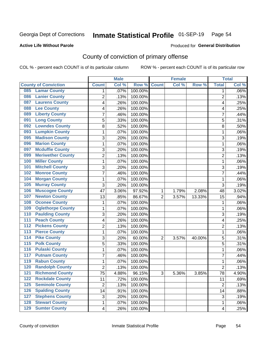## Inmate Statistical Profile 01-SEP-19 Page 54

### **Active Life Without Parole**

### Produced for General Distribution

## County of conviction of primary offense

COL % - percent each COUNT is of its particular column

|                                           |                | <b>Male</b> |         |                | <b>Female</b> |        |                | <b>Total</b> |
|-------------------------------------------|----------------|-------------|---------|----------------|---------------|--------|----------------|--------------|
| <b>County of Conviction</b>               | <b>Count</b>   | Col %       | Row %   | <b>Count</b>   | Col %         | Row %  | <b>Total</b>   | Col %        |
| <b>Lamar County</b><br>085                | 1              | .07%        | 100.00% |                |               |        | 1              | $.06\%$      |
| <b>Lanier County</b><br>086               | $\overline{2}$ | .13%        | 100.00% |                |               |        | $\overline{2}$ | .13%         |
| <b>Laurens County</b><br>087              | 4              | .26%        | 100.00% |                |               |        | 4              | .25%         |
| <b>Lee County</b><br>088                  | 4              | .26%        | 100.00% |                |               |        | 4              | .25%         |
| <b>Liberty County</b><br>089              | 7              | .46%        | 100.00% |                |               |        | 7              | .44%         |
| <b>Long County</b><br>091                 | 5              | .33%        | 100.00% |                |               |        | 5              | .31%         |
| <b>Lowndes County</b><br>092              | 8              | .52%        | 100.00% |                |               |        | 8              | .50%         |
| <b>Lumpkin County</b><br>093              | 1              | .07%        | 100.00% |                |               |        | $\mathbf{1}$   | .06%         |
| <b>Madison County</b><br>095              | 3              | .20%        | 100.00% |                |               |        | 3              | .19%         |
| <b>Marion County</b><br>096               | 1              | .07%        | 100.00% |                |               |        | $\mathbf{1}$   | .06%         |
| <b>Mcduffie County</b><br>097             | 3              | .20%        | 100.00% |                |               |        | 3              | .19%         |
| <b>Meriwether County</b><br>099           | $\overline{2}$ | .13%        | 100.00% |                |               |        | $\overline{2}$ | .13%         |
| <b>Miller County</b><br>100               | 1              | .07%        | 100.00% |                |               |        | $\mathbf{1}$   | .06%         |
| <b>Mitchell County</b><br>101             | 3              | .20%        | 100.00% |                |               |        | 3              | .19%         |
| <b>Monroe County</b><br>102               | 7              | .46%        | 100.00% |                |               |        | $\overline{7}$ | .44%         |
| <b>Morgan County</b><br>104               | 1              | .07%        | 100.00% |                |               |        | $\mathbf{1}$   | .06%         |
| <b>Murray County</b><br>105               | 3              | .20%        | 100.00% |                |               |        | 3              | .19%         |
| <b>Muscogee County</b><br>106             | 47             | 3.06%       | 97.92%  | 1              | 1.79%         | 2.08%  | 48             | 3.02%        |
| <b>Newton County</b><br>107               | 13             | .85%        | 86.67%  | $\overline{2}$ | 3.57%         | 13.33% | 15             | .94%         |
| <b>Oconee County</b><br>108               | 1              | .07%        | 100.00% |                |               |        | 1              | .06%         |
| <b>Oglethorpe County</b><br>109           | 1              | .07%        | 100.00% |                |               |        | 1              | .06%         |
| <b>Paulding County</b><br>110             | 3              | .20%        | 100.00% |                |               |        | 3              | .19%         |
| <b>Peach County</b><br>111                | 4              | .26%        | 100.00% |                |               |        | 4              | .25%         |
| <b>Pickens County</b><br>$\overline{112}$ | $\overline{2}$ | .13%        | 100.00% |                |               |        | $\overline{2}$ | .13%         |
| <b>Pierce County</b><br>113               | 1              | .07%        | 100.00% |                |               |        | 1              | .06%         |
| <b>Pike County</b><br>$\overline{114}$    | 3              | .20%        | 60.00%  | $\overline{2}$ | 3.57%         | 40.00% | 5              | .31%         |
| <b>Polk County</b><br>$\overline{115}$    | 5              | .33%        | 100.00% |                |               |        | 5              | .31%         |
| <b>Pulaski County</b><br>116              | 1              | .07%        | 100.00% |                |               |        | $\mathbf{1}$   | .06%         |
| <b>Putnam County</b><br>117               | 7              | .46%        | 100.00% |                |               |        | 7              | .44%         |
| <b>Rabun County</b><br>119                | 1              | .07%        | 100.00% |                |               |        | $\mathbf{1}$   | .06%         |
| <b>Randolph County</b><br>120             | $\overline{2}$ | .13%        | 100.00% |                |               |        | $\overline{2}$ | .13%         |
| <b>Richmond County</b><br>121             | 75             | 4.88%       | 96.15%  | 3              | 5.36%         | 3.85%  | 78             | 4.90%        |
| <b>Rockdale County</b><br>122             | 11             | .72%        | 100.00% |                |               |        | 11             | .69%         |
| <b>Seminole County</b><br>$125$           | $\overline{2}$ | .13%        | 100.00% |                |               |        | $\overline{2}$ | .13%         |
| <b>Spalding County</b><br>126             | 14             | .91%        | 100.00% |                |               |        | 14             | .88%         |
| <b>Stephens County</b><br>127             | 3              | .20%        | 100.00% |                |               |        | 3              | .19%         |
| <b>Stewart County</b><br>128              | 1              | .07%        | 100.00% |                |               |        | 1              | .06%         |
| <b>Sumter County</b><br>129               | 4              | .26%        | 100.00% |                |               |        | 4              | .25%         |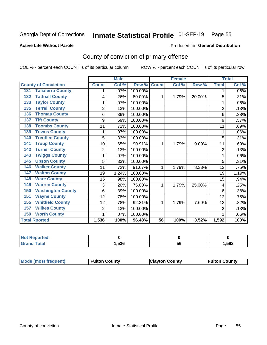## Inmate Statistical Profile 01-SEP-19 Page 55

Produced for General Distribution

### **Active Life Without Parole**

## County of conviction of primary offense

COL % - percent each COUNT is of its particular column

|                                 |                | <b>Male</b> |         |                 | <b>Female</b> |        |                | <b>Total</b> |
|---------------------------------|----------------|-------------|---------|-----------------|---------------|--------|----------------|--------------|
| <b>County of Conviction</b>     | <b>Count</b>   | Col %       | Row %   | <b>Count</b>    | Col %         | Row %  | <b>Total</b>   | Col %        |
| <b>Taliaferro County</b><br>131 | 1              | .07%        | 100.00% |                 |               |        | 1              | .06%         |
| <b>Tattnall County</b><br>132   | 4              | .26%        | 80.00%  | 1               | 1.79%         | 20.00% | 5              | .31%         |
| <b>Taylor County</b><br>133     |                | .07%        | 100.00% |                 |               |        | 1              | .06%         |
| <b>Terrell County</b><br>135    | $\overline{2}$ | .13%        | 100.00% |                 |               |        | $\overline{2}$ | .13%         |
| <b>Thomas County</b><br>136     | 6              | .39%        | 100.00% |                 |               |        | 6              | .38%         |
| <b>Tift County</b><br>137       | 9              | .59%        | 100.00% |                 |               |        | 9              | .57%         |
| <b>Toombs County</b><br>138     | 11             | .72%        | 100.00% |                 |               |        | 11             | .69%         |
| <b>Towns County</b><br>139      | 1              | .07%        | 100.00% |                 |               |        | 1              | .06%         |
| <b>Treutlen County</b><br>140   | 5              | .33%        | 100.00% |                 |               |        | 5              | .31%         |
| <b>Troup County</b><br>141      | 10             | .65%        | 90.91%  | 1               | 1.79%         | 9.09%  | 11             | .69%         |
| <b>Turner County</b><br>142     | $\overline{2}$ | .13%        | 100.00% |                 |               |        | $\overline{2}$ | .13%         |
| <b>Twiggs County</b><br>143     | 1              | .07%        | 100.00% |                 |               |        | 1              | .06%         |
| <b>Upson County</b><br>145      | 5              | .33%        | 100.00% |                 |               |        | 5              | .31%         |
| <b>Walker County</b><br>146     | 11             | .72%        | 91.67%  | 1               | 1.79%         | 8.33%  | 12             | .75%         |
| <b>Walton County</b><br>147     | 19             | 1.24%       | 100.00% |                 |               |        | 19             | 1.19%        |
| <b>Ware County</b><br>148       | 15             | .98%        | 100.00% |                 |               |        | 15             | .94%         |
| <b>Warren County</b><br>149     | 3              | .20%        | 75.00%  | 1               | 1.79%         | 25.00% | 4              | .25%         |
| <b>Washington County</b><br>150 | 6              | .39%        | 100.00% |                 |               |        | 6              | .38%         |
| <b>Wayne County</b><br>151      | 12             | .78%        | 100.00% |                 |               |        | 12             | .75%         |
| <b>Whitfield County</b><br>155  | 12             | .78%        | 92.31%  | 1               | 1.79%         | 7.69%  | 13             | .82%         |
| <b>Wilkes County</b><br>157     | 2              | .13%        | 100.00% |                 |               |        | $\overline{2}$ | .13%         |
| <b>Worth County</b><br>159      | 1              | .07%        | 100.00% |                 |               |        | 1              | .06%         |
| <b>Total Rported</b>            | 1,536          | 100%        | 96.48%  | $\overline{56}$ | 100%          | 3.52%  | 1,592          | 100%         |

| Reported |       |    |      |
|----------|-------|----|------|
| υιαι     | 1,536 | ುರ | ,592 |

| <b>Mode (most frequent)</b> | <b>Fulton County</b> | <b>Clayton County</b> | <b>Fulton County</b> |
|-----------------------------|----------------------|-----------------------|----------------------|
|-----------------------------|----------------------|-----------------------|----------------------|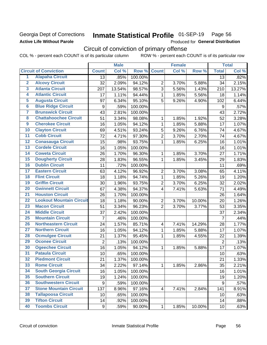### Georgia Dept of Corrections **Active Life Without Parole**

## Inmate Statistical Profile 01-SEP-19 Page 56

Produced for General Distribution

## Circuit of conviction of primary offense

COL % - percent each COUNT is of its particular column ROW % - percent each COUNT is of its particular row

|                         |                                 |                | <b>Male</b> |                  |                         | <b>Female</b> |        |                 | <b>Total</b> |
|-------------------------|---------------------------------|----------------|-------------|------------------|-------------------------|---------------|--------|-----------------|--------------|
|                         | <b>Circuit of Conviction</b>    | <b>Count</b>   | Col %       | Row <sup>%</sup> | <b>Count</b>            | Col %         | Row %  | <b>Total</b>    | Col %        |
| 1                       | <b>Alapaha Circuit</b>          | 13             | .85%        | 100.00%          |                         |               |        | 13              | .82%         |
| $\overline{2}$          | <b>Alcovy Circuit</b>           | 32             | 2.09%       | 94.12%           | $\overline{2}$          | 3.70%         | 5.88%  | 34              | 2.15%        |
| $\overline{3}$          | <b>Atlanta Circuit</b>          | 207            | 13.54%      | 98.57%           | 3                       | 5.56%         | 1.43%  | 210             | 13.27%       |
| $\overline{4}$          | <b>Atlantic Circuit</b>         | 17             | 1.11%       | 94.44%           | 1                       | 1.85%         | 5.56%  | 18              | 1.14%        |
| $\overline{5}$          | <b>Augusta Circuit</b>          | 97             | 6.34%       | 95.10%           | 5                       | 9.26%         | 4.90%  | 102             | 6.44%        |
| $\overline{\bf{6}}$     | <b>Blue Ridge Circuit</b>       | 9              | .59%        | 100.00%          |                         |               |        | 9               | .57%         |
| 7                       | <b>Brunswick Circuit</b>        | 43             | 2.81%       | 100.00%          |                         |               |        | 43              | 2.72%        |
| $\overline{\mathbf{8}}$ | <b>Chattahoochee Circuit</b>    | 51             | 3.34%       | 98.08%           | 1                       | 1.85%         | 1.92%  | 52              | 3.28%        |
| $\overline{9}$          | <b>Cherokee Circuit</b>         | 16             | 1.05%       | 94.12%           | $\mathbf{1}$            | 1.85%         | 5.88%  | 17              | 1.07%        |
| 10                      | <b>Clayton Circuit</b>          | 69             | 4.51%       | 93.24%           | 5                       | 9.26%         | 6.76%  | 74              | 4.67%        |
| $\overline{11}$         | <b>Cobb Circuit</b>             | 72             | 4.71%       | 97.30%           | $\overline{2}$          | 3.70%         | 2.70%  | 74              | 4.67%        |
| $\overline{12}$         | <b>Conasauga Circuit</b>        | 15             | .98%        | 93.75%           | 1                       | 1.85%         | 6.25%  | 16              | 1.01%        |
| 13                      | <b>Cordele Circuit</b>          | 16             | 1.05%       | 100.00%          |                         |               |        | 16              | 1.01%        |
| 14                      | <b>Coweta Circuit</b>           | 26             | 1.70%       | 96.30%           | 1                       | 1.85%         | 3.70%  | 27              | 1.71%        |
| $\overline{15}$         | <b>Dougherty Circuit</b>        | 28             | 1.83%       | 96.55%           | $\mathbf{1}$            | 1.85%         | 3.45%  | 29              | 1.83%        |
| 16                      | <b>Dublin Circuit</b>           | 11             | .72%        | 100.00%          |                         |               |        | 11              | .69%         |
| 17                      | <b>Eastern Circuit</b>          | 63             | 4.12%       | 96.92%           | $\overline{2}$          | 3.70%         | 3.08%  | 65              | 4.11%        |
| $\overline{18}$         | <b>Flint Circuit</b>            | 18             | 1.18%       | 94.74%           | 1                       | 1.85%         | 5.26%  | 19              | 1.20%        |
| 19                      | <b>Griffin Circuit</b>          | 30             | 1.96%       | 93.75%           | $\mathbf 2$             | 3.70%         | 6.25%  | 32              | 2.02%        |
| $\overline{20}$         | <b>Gwinnett Circuit</b>         | 67             | 4.38%       | 94.37%           | 4                       | 7.41%         | 5.63%  | 71              | 4.49%        |
| $\overline{21}$         | <b>Houston Circuit</b>          | 26             | 1.70%       | 100.00%          |                         |               |        | 26              | 1.64%        |
| $\overline{22}$         | <b>Lookout Mountain Circuit</b> | 18             | 1.18%       | 90.00%           | $\overline{2}$          | 3.70%         | 10.00% | 20              | 1.26%        |
| 23                      | <b>Macon Circuit</b>            | 51             | 3.34%       | 96.23%           | $\overline{2}$          | 3.70%         | 3.77%  | 53              | 3.35%        |
| $\overline{24}$         | <b>Middle Circuit</b>           | 37             | 2.42%       | 100.00%          |                         |               |        | 37              | 2.34%        |
| $\overline{25}$         | <b>Mountain Circuit</b>         | $\overline{7}$ | .46%        | 100.00%          |                         |               |        | $\overline{7}$  | .44%         |
| 26                      | <b>Northeastern Circuit</b>     | 24             | 1.57%       | 85.71%           | $\overline{\mathbf{4}}$ | 7.41%         | 14.29% | 28              | 1.77%        |
| $\overline{27}$         | <b>Northern Circuit</b>         | 16             | 1.05%       | 94.12%           | 1                       | 1.85%         | 5.88%  | 17              | 1.07%        |
| 28                      | <b>Ocmulgee Circuit</b>         | 21             | 1.37%       | 95.45%           | 1                       | 1.85%         | 4.55%  | 22              | 1.39%        |
| 29                      | <b>Oconee Circuit</b>           | $\overline{2}$ | .13%        | 100.00%          |                         |               |        | $\overline{2}$  | .13%         |
| 30                      | <b>Ogeechee Circuit</b>         | 16             | 1.05%       | 94.12%           | 1                       | 1.85%         | 5.88%  | 17              | 1.07%        |
| $\overline{31}$         | <b>Pataula Circuit</b>          | 10             | .65%        | 100.00%          |                         |               |        | 10              | .63%         |
| 32                      | <b>Piedmont Circuit</b>         | 21             | 1.37%       | 100.00%          |                         |               |        | 21              | 1.33%        |
| 33                      | <b>Rome Circuit</b>             | 34             | 2.22%       | 97.14%           | $\mathbf{1}$            | 1.85%         | 2.86%  | 35              | 2.21%        |
| 34                      | <b>South Georgia Circuit</b>    | 16             | 1.05%       | 100.00%          |                         |               |        | 16              | 1.01%        |
| 35                      | <b>Southern Circuit</b>         | 19             | 1.24%       | 100.00%          |                         |               |        | 19              | 1.20%        |
| 36                      | <b>Southwestern Circuit</b>     | 9              | .59%        | 100.00%          |                         |               |        | 9               | .57%         |
| 37                      | <b>Stone Mountain Circuit</b>   | 137            | 8.96%       | 97.16%           | $\overline{\mathbf{4}}$ | 7.41%         | 2.84%  | 141             | 8.91%        |
| 38                      | <b>Tallapoosa Circuit</b>       | 10             | .65%        | 100.00%          |                         |               |        | 10              | .63%         |
| 39                      | <b>Tifton Circuit</b>           | 14             | .92%        | 100.00%          |                         |               |        | 14              | .88%         |
| 40                      | <b>Toombs Circuit</b>           | 9              | .59%        | 90.00%           | $\mathbf{1}$            | 1.85%         | 10.00% | 10 <sup>1</sup> | .63%         |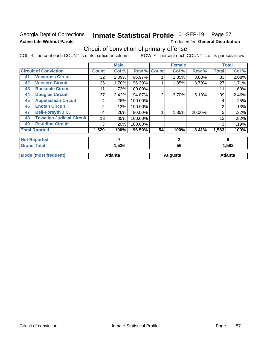### Georgia Dept of Corrections **Active Life Without Parole**

#### Inmate Statistical Profile 01-SEP-19 Page 57

Produced for General Distribution

## Circuit of conviction of primary offense

COL % - percent each COUNT is of its particular column ROW % - percent each COUNT is of its particular row

|    |                                  |              | <b>Male</b>    |         |                | <b>Female</b> |        |              | <b>Total</b>   |
|----|----------------------------------|--------------|----------------|---------|----------------|---------------|--------|--------------|----------------|
|    | <b>Circuit of Conviction</b>     | <b>Count</b> | Col %          | Row %   | <b>Count</b>   | Col %         | Row %  | <b>Total</b> | Col%           |
| 41 | <b>Waycross Circuit</b>          | 32           | 2.09%          | 96.97%  |                | 1.85%         | 3.03%  | 33           | 2.08%          |
| 42 | <b>Western Circuit</b>           | 26           | 1.70%          | 96.30%  |                | 1.85%         | 3.70%  | 27           | 1.71%          |
| 43 | <b>Rockdale Circuit</b>          | 11           | .72%           | 100.00% |                |               |        | 11           | .69%           |
| 44 | <b>Douglas Circuit</b>           | 37           | 2.42%          | 94.87%  | $\overline{2}$ | 3.70%         | 5.13%  | 39           | 2.46%          |
| 45 | <b>Appalachian Circuit</b>       | 4            | .26%           | 100.00% |                |               |        | 4            | .25%           |
| 46 | <b>Enotah Circuit</b>            | 2            | .13%           | 100.00% |                |               |        | 2            | .13%           |
| 47 | <b>Bell-Forsyth J.C.</b>         | 4            | .26%           | 80.00%  |                | 1.85%         | 20.00% | 5            | .32%           |
| 48 | <b>Towaliga Judicial Circuit</b> | 13           | .85%           | 100.00% |                |               |        | 13           | .82%           |
| 49 | <b>Paulding Circuit</b>          | 3            | .20%           | 100.00% |                |               |        | 3            | .19%           |
|    | <b>Total Rported</b>             | 1,529        | 100%           | 96.59%  | 54             | 100%          | 3.41%  | 1,583        | 100%           |
|    | <b>Not Reported</b>              |              | 7              |         |                | $\mathbf{2}$  |        |              | 9              |
|    | <b>Grand Total</b>               |              | 1,536          |         |                | 56            |        |              | 1,592          |
|    | <b>Mode (most frequent)</b>      |              | <b>Atlanta</b> |         |                | Augusta       |        |              | <b>Atlanta</b> |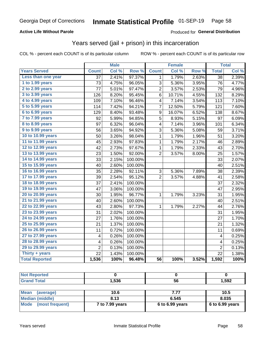### **Active Life Without Parole**

### **Produced for General Distribution**

### Years served (jail + prison) in this incarceration

COL % - percent each COUNT is of its particular column

|                       |                 | <b>Male</b> |                  |                 | Female |       |                         | <b>Total</b> |
|-----------------------|-----------------|-------------|------------------|-----------------|--------|-------|-------------------------|--------------|
| <b>Years Served</b>   | <b>Count</b>    | Col %       | Row <sup>%</sup> | <b>Count</b>    | Col %  | Row % | <b>Total</b>            | Col %        |
| Less than one year    | $\overline{37}$ | 2.41%       | 97.37%           | 1               | 1.79%  | 2.63% | $\overline{38}$         | 2.39%        |
| 1 to 1.99 years       | 73              | 4.75%       | 96.05%           | 3               | 5.36%  | 3.95% | 76                      | 4.77%        |
| 2 to 2.99 years       | 77              | 5.01%       | 97.47%           | $\overline{c}$  | 3.57%  | 2.53% | 79                      | 4.96%        |
| 3 to 3.99 years       | 126             | 8.20%       | 95.45%           | 6               | 10.71% | 4.55% | 132                     | 8.29%        |
| 4 to 4.99 years       | 109             | 7.10%       | 96.46%           | 4               | 7.14%  | 3.54% | 113                     | 7.10%        |
| 5 to 5.99 years       | 114             | 7.42%       | 94.21%           | 7               | 12.50% | 5.79% | 121                     | 7.60%        |
| 6 to 6.99 years       | 129             | 8.40%       | 93.48%           | 9               | 16.07% | 6.52% | 138                     | 8.67%        |
| 7 to 7.99 years       | 92              | 5.99%       | 94.85%           | 5               | 8.93%  | 5.15% | 97                      | 6.09%        |
| 8 to 8.99 years       | 97              | 6.32%       | 96.04%           | 4               | 7.14%  | 3.96% | 101                     | 6.34%        |
| 9 to 9.99 years       | 56              | 3.65%       | 94.92%           | 3               | 5.36%  | 5.08% | 59                      | 3.71%        |
| 10 to 10.99 years     | 50              | 3.26%       | 98.04%           | 1               | 1.79%  | 1.96% | 51                      | 3.20%        |
| 11 to 11.99 years     | 45              | 2.93%       | 97.83%           | 1               | 1.79%  | 2.17% | 46                      | 2.89%        |
| 12 to 12.99 years     | 42              | 2.73%       | 97.67%           | $\mathbf 1$     | 1.79%  | 2.33% | 43                      | 2.70%        |
| 13 to 13.99 years     | 23              | 1.50%       | 92.00%           | $\overline{2}$  | 3.57%  | 8.00% | 25                      | 1.57%        |
| 14 to 14.99 years     | 33              | 2.15%       | 100.00%          |                 |        |       | 33                      | 2.07%        |
| 15 to 15.99 years     | 40              | 2.60%       | 100.00%          |                 |        |       | 40                      | 2.51%        |
| 16 to 16.99 years     | 35              | 2.28%       | 92.11%           | 3               | 5.36%  | 7.89% | 38                      | 2.39%        |
| 17 to 17.99 years     | 39              | 2.54%       | 95.12%           | $\overline{2}$  | 3.57%  | 4.88% | 41                      | 2.58%        |
| 18 to 18.99 years     | 37              | 2.41%       | 100.00%          |                 |        |       | 37                      | 2.32%        |
| 19 to 19.99 years     | 47              | 3.06%       | 100.00%          |                 |        |       | 47                      | 2.95%        |
| 20 to 20.99 years     | 30              | 1.95%       | 96.77%           | 1               | 1.79%  | 3.23% | 31                      | 1.95%        |
| 21 to 21.99 years     | 40              | 2.60%       | 100.00%          |                 |        |       | 40                      | 2.51%        |
| 22 to 22.99 years     | 43              | 2.80%       | 97.73%           | 1               | 1.79%  | 2.27% | 44                      | 2.76%        |
| 23 to 23.99 years     | 31              | 2.02%       | 100.00%          |                 |        |       | 31                      | 1.95%        |
| 24 to 24.99 years     | 27              | 1.76%       | 100.00%          |                 |        |       | 27                      | 1.70%        |
| 25 to 25.99 years     | 21              | 1.37%       | 100.00%          |                 |        |       | 21                      | 1.32%        |
| 26 to 26.99 years     | 11              | 0.72%       | 100.00%          |                 |        |       | 11                      | 0.69%        |
| 27 to 27.99 years     | 4               | 0.26%       | 100.00%          |                 |        |       | 4                       | 0.25%        |
| 28 to 28.99 years     | 4               | 0.26%       | 100.00%          |                 |        |       | $\overline{\mathbf{4}}$ | 0.25%        |
| 29 to 29.99 years     | $\overline{2}$  | 0.13%       | 100.00%          |                 |        |       | $\overline{2}$          | 0.13%        |
| Thirty + years        | $\overline{22}$ | 1.43%       | 100.00%          |                 |        |       | $\overline{22}$         | 1.38%        |
| <b>Total Reported</b> | 1,536           | 100%        | 96.48%           | $\overline{56}$ | 100%   | 3.52% | 1,592                   | 100%         |

| ---<br>_____ | <b>FOR</b> | - -<br>vu | ,592 |
|--------------|------------|-----------|------|

| <b>Mean</b><br>(average) | 10.6            | 7.77              | 10.5              |
|--------------------------|-----------------|-------------------|-------------------|
| Median (middle)          | 8.13            | 6.545             | 8.035             |
| Mode (most frequent)     | 7 to 7.99 years | $6$ to 6.99 years | $6$ to 6.99 years |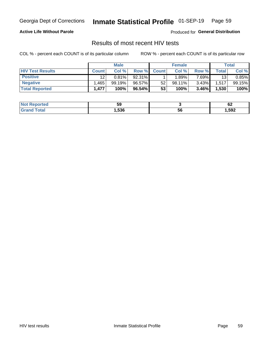#### Inmate Statistical Profile 01-SEP-19 Page 59

### **Active Life Without Parole**

Produced for General Distribution

### Results of most recent HIV tests

COL % - percent each COUNT is of its particular column

|                         | <b>Male</b>  |        |        | <b>Female</b> |           |          | Total |        |
|-------------------------|--------------|--------|--------|---------------|-----------|----------|-------|--------|
| <b>HIV Test Results</b> | <b>Count</b> | Col %  | Row %I | <b>Count</b>  | Col %     | Row %    | Total | Col %  |
| <b>Positive</b>         | 12           | 0.81%  | 92.31% |               | .89%      | 7.69%    | 13    | 0.85%  |
| <b>Negative</b>         | .465         | 99.19% | 96.57% | 52            | $98.11\%$ | $3.43\%$ | 1,517 | 99.15% |
| <b>Total Reported</b>   | 1,477        | 100%   | 96.54% | 53            | 100%      | 3.46%    | 1,530 | 100%   |

| <b>Not Reported</b>         | ວະ   |    | ~<br><u>UŁ</u> |
|-----------------------------|------|----|----------------|
| <b>Total</b><br><b>Grot</b> | ,536 | 56 | 592,           |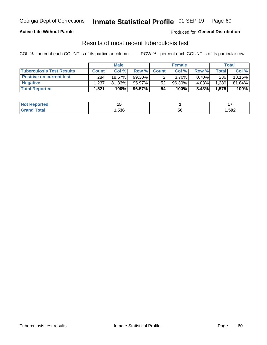## Georgia Dept of Corrections **Inmate Statistical Profile** 01-SEP-19 Page 60

### **Active Life Without Parole**

Produced for **General Distribution**

### Results of most recent tuberculosis test

COL % - percent each COUNT is of its particular column ROW % - percent each COUNT is of its particular row

|                                  | <b>Male</b>  |        |           | <b>Female</b> |           |          | Total        |        |
|----------------------------------|--------------|--------|-----------|---------------|-----------|----------|--------------|--------|
| <b>Tuberculosis Test Results</b> | <b>Count</b> | Col%   | Row %I    | <b>Count</b>  | Col %     | Row %    | <b>Total</b> | Col %  |
| <b>Positive on current test</b>  | 284          | 18.67% | $99.30\%$ |               | $3.70\%$  | $0.70\%$ | 286          | 18.16% |
| <b>Negative</b>                  | 1.237        | 81.33% | 95.97%    | 52            | $96.30\%$ | 4.03%    | .289         | 81.84% |
| <b>Total Reported</b>            | .521         | 100%   | 96.57%    | 54            | 100%      | 3.43%    | 1,575        | 100%   |

| <b>Not Reported</b> |      |    |      |
|---------------------|------|----|------|
| <b>Total</b>        | .536 | ວບ | ,592 |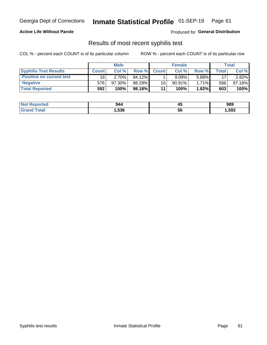## Georgia Dept of Corrections **Inmate Statistical Profile** 01-SEP-19 Page 61

### **Active Life Without Parole**

Produced for **General Distribution**

### Results of most recent syphilis test

COL % - percent each COUNT is of its particular column ROW % - percent each COUNT is of its particular row

|                                 | <b>Male</b>  |           |           | <b>Female</b> |           |          | Total |        |
|---------------------------------|--------------|-----------|-----------|---------------|-----------|----------|-------|--------|
| <b>Syphilis Test Results</b>    | <b>Count</b> | Col%      | Row %I    | <b>Count</b>  | Col %     | Row %I   | Total | Col %  |
| <b>Positive on current test</b> | 16           | 2.70%     | $94.12\%$ |               | 9.09%     | 5.88%    | 17    | 2.82%  |
| <b>Negative</b>                 | 576          | $97.30\%$ | 98.29%    | 10            | $90.91\%$ | $1.71\%$ | 586   | 97.18% |
| <b>Total Reported</b>           | 592          | 100%      | 98.18%    | 11            | 100%      | $1.82\%$ | 603   | 100%   |

| <b>Not Reported</b> | 944  | $\mathbf{A}$<br>Tv. | 989    |
|---------------------|------|---------------------|--------|
| <b>Grand Total</b>  | ,536 | 56                  | 592, ا |